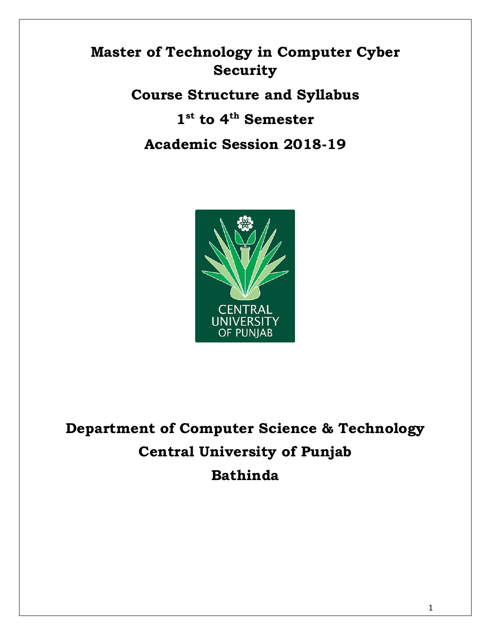# **Master of Technology in Computer Cyber Security**

# **Course Structure and Syllabus**

# **1 st to 4th Semester**

# **Academic Session 2018-19**



**Department of Computer Science & Technology Central University of Punjab Bathinda**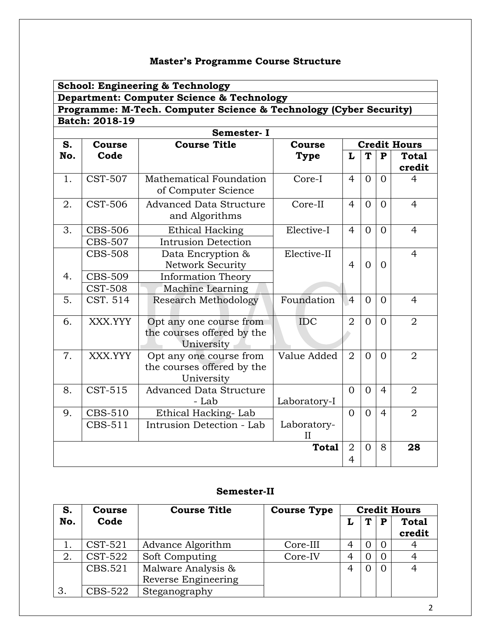# **Master's Programme Course Structure**

|     | <b>School: Engineering &amp; Technology</b> |                                                                     |                  |                |                |                |                        |
|-----|---------------------------------------------|---------------------------------------------------------------------|------------------|----------------|----------------|----------------|------------------------|
|     |                                             | Department: Computer Science & Technology                           |                  |                |                |                |                        |
|     |                                             | Programme: M-Tech. Computer Science & Technology (Cyber Security)   |                  |                |                |                |                        |
|     | <b>Batch: 2018-19</b>                       |                                                                     |                  |                |                |                |                        |
|     |                                             | Semester-I                                                          |                  |                |                |                |                        |
| S.  | Course                                      | <b>Course Title</b>                                                 | <b>Course</b>    |                |                |                | <b>Credit Hours</b>    |
| No. | Code                                        |                                                                     | <b>Type</b>      | L              | T              | P              | <b>Total</b><br>credit |
| 1.  | <b>CST-507</b>                              | Mathematical Foundation<br>of Computer Science                      | Core-I           | $\overline{4}$ | $\Omega$       | $\Omega$       | $\overline{4}$         |
| 2.  | <b>CST-506</b>                              | <b>Advanced Data Structure</b><br>and Algorithms                    | Core-II          | $\overline{4}$ | $\overline{0}$ | $\overline{0}$ | $\overline{4}$         |
| 3.  | <b>CBS-506</b>                              | <b>Ethical Hacking</b>                                              | Elective-I       | $\overline{4}$ | $\Omega$       | $\overline{0}$ | 4                      |
|     | <b>CBS-507</b>                              | <b>Intrusion Detection</b>                                          |                  |                |                |                |                        |
|     | <b>CBS-508</b>                              | Data Encryption &                                                   | Elective-II      |                |                |                | $\overline{4}$         |
|     |                                             | <b>Network Security</b>                                             |                  | $\overline{4}$ | $\Omega$       | $\Omega$       |                        |
| 4.  | <b>CBS-509</b>                              | <b>Information Theory</b>                                           |                  |                |                |                |                        |
|     | <b>CST-508</b>                              | Machine Learning                                                    |                  |                |                |                |                        |
| 5.  | CST. 514                                    | <b>Research Methodology</b>                                         | Foundation       | $\overline{4}$ | $\Omega$       | $\Omega$       | $\overline{4}$         |
| 6.  | XXX.YYY                                     | Opt any one course from<br>the courses offered by the<br>University | <b>IDC</b>       | $\overline{2}$ | $\Omega$       | $\Omega$       | $\overline{2}$         |
| 7.  | XXX.YYY                                     | Opt any one course from<br>the courses offered by the<br>University | Value Added      | $\overline{2}$ | $\Omega$       | $\Omega$       | $\overline{2}$         |
| 8.  | $\overline{\text{CST-515}}$                 | <b>Advanced Data Structure</b><br>- Lab                             | Laboratory-I     | $\Omega$       | $\Omega$       | $\overline{4}$ | $\overline{2}$         |
| 9.  | <b>CBS-510</b>                              | Ethical Hacking-Lab                                                 |                  | $\Omega$       | $\overline{0}$ | $\overline{4}$ | $\overline{2}$         |
|     | CBS-511                                     | Intrusion Detection - Lab                                           | Laboratory-<br>Н |                |                |                |                        |
|     |                                             |                                                                     | <b>Total</b>     | $\overline{2}$ | $\overline{0}$ | 8              | 28                     |
|     |                                             |                                                                     |                  | $\overline{4}$ |                |                |                        |

## **Semester-II**

| S.  | <b>Course</b> | <b>Course Title</b> | <b>Course Type</b> |                |     |                | <b>Credit Hours</b>    |
|-----|---------------|---------------------|--------------------|----------------|-----|----------------|------------------------|
| No. | Code          |                     |                    |                | T.  | P              | <b>Total</b><br>credit |
|     | $CST-521$     | Advance Algorithm   | Core-III           | 4              |     | $\overline{0}$ | 4                      |
| 2.  | CST-522       | Soft Computing      | Core-IV            | $\overline{4}$ | ( ) | $\overline{0}$ |                        |
|     | CBS.521       | Malware Analysis &  |                    | $\overline{4}$ |     | $\Omega$       |                        |
|     |               | Reverse Engineering |                    |                |     |                |                        |
| 3.  | CBS-522       | Steganography       |                    |                |     |                |                        |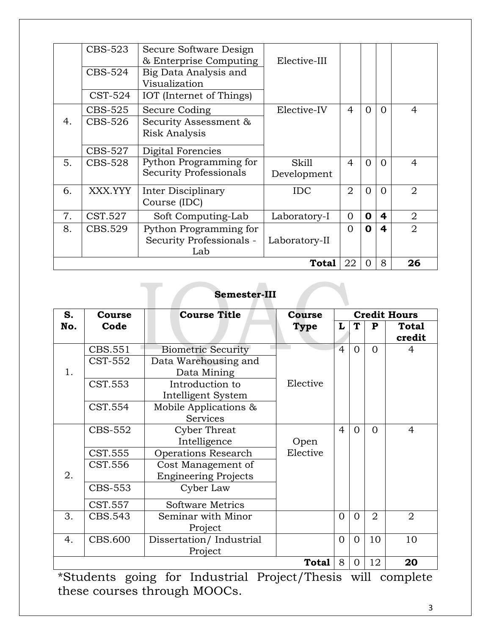|    | CBS-523                            | Secure Software Design        |               |                |                |          |                |
|----|------------------------------------|-------------------------------|---------------|----------------|----------------|----------|----------------|
|    |                                    | & Enterprise Computing        | Elective-III  |                |                |          |                |
|    | CBS-524                            | Big Data Analysis and         |               |                |                |          |                |
|    |                                    | Visualization                 |               |                |                |          |                |
|    | CST-524                            | IOT (Internet of Things)      |               |                |                |          |                |
|    | CBS-525                            | Secure Coding                 | Elective-IV   | 4              | 0              | $\Omega$ | 4              |
| 4. | CBS-526                            | Security Assessment &         |               |                |                |          |                |
|    |                                    | <b>Risk Analysis</b>          |               |                |                |          |                |
|    |                                    |                               |               |                |                |          |                |
|    | CBS-527                            | Digital Forencies             |               |                |                |          |                |
| 5. | CBS-528                            | Python Programming for        | <b>Skill</b>  | $\overline{4}$ | $\Omega$       | $\Omega$ | $\overline{4}$ |
|    |                                    | <b>Security Professionals</b> | Development   |                |                |          |                |
| 6. | XXX.YYY                            | Inter Disciplinary            | <b>IDC</b>    | $\overline{2}$ | $\overline{0}$ | $\Omega$ | $\overline{2}$ |
|    |                                    |                               |               |                |                |          |                |
|    |                                    | Course (IDC)                  |               |                |                |          |                |
| 7. | CST.527                            | Soft Computing-Lab            | Laboratory-I  | $\Omega$       | $\mathbf 0$    | 4        | $\overline{2}$ |
| 8. | CBS.529                            | Python Programming for        |               | $\Omega$       | 0              | 4        | $\overline{2}$ |
|    |                                    | Security Professionals -      | Laboratory-II |                |                |          |                |
|    |                                    | Lab                           |               |                |                |          |                |
|    | 22<br>8<br>26<br><b>Total</b><br>Ω |                               |               |                |                |          |                |

# **Semester-III**

| S.  | Course         | <b>Course Title</b>         | <b>Course</b> |                |          |                | <b>Credit Hours</b>    |
|-----|----------------|-----------------------------|---------------|----------------|----------|----------------|------------------------|
| No. | Code           |                             | Type          | L              | T        | P              | <b>Total</b><br>credit |
|     | CBS.551        | <b>Biometric Security</b>   |               | $\overline{4}$ | $\Omega$ | $\Omega$       | 4                      |
|     | CST-552        | Data Warehousing and        |               |                |          |                |                        |
| 1.  |                | Data Mining                 |               |                |          |                |                        |
|     | CST.553        | Introduction to             | Elective      |                |          |                |                        |
|     |                | Intelligent System          |               |                |          |                |                        |
|     | CST.554        | Mobile Applications &       |               |                |          |                |                        |
|     |                | Services                    |               |                |          |                |                        |
|     | <b>CBS-552</b> | <b>Cyber Threat</b>         |               | $\overline{4}$ | $\Omega$ | $\Omega$       | $\overline{4}$         |
|     |                | Intelligence                | Open          |                |          |                |                        |
|     | CST.555        | <b>Operations Research</b>  | Elective      |                |          |                |                        |
|     | CST.556        | Cost Management of          |               |                |          |                |                        |
| 2.  |                | <b>Engineering Projects</b> |               |                |          |                |                        |
|     | <b>CBS-553</b> | Cyber Law                   |               |                |          |                |                        |
|     | CST.557        | <b>Software Metrics</b>     |               |                |          |                |                        |
| 3.  | CBS.543        | Seminar with Minor          |               | $\overline{0}$ | $\Omega$ | $\overline{2}$ | $\overline{2}$         |
|     |                | Project                     |               |                |          |                |                        |
| 4.  | <b>CBS.600</b> | Dissertation/Industrial     |               | $\Omega$       | $\Omega$ | 10             | 10                     |
|     |                | Project                     |               |                |          |                |                        |
|     |                |                             | <b>Total</b>  | 8              | $\Omega$ | 12             | 20                     |

\*Students going for Industrial Project/Thesis will complete these courses through MOOCs.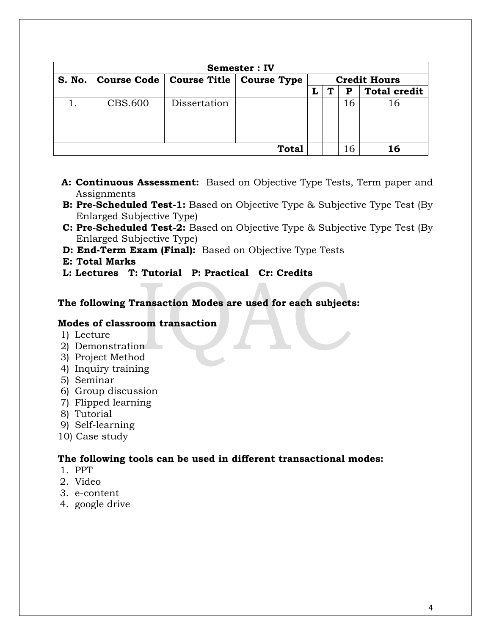| <b>Semester: IV</b> |                                          |              |              |  |                     |    |                     |
|---------------------|------------------------------------------|--------------|--------------|--|---------------------|----|---------------------|
| S. No.              | Course Code   Course Title   Course Type |              |              |  | <b>Credit Hours</b> |    |                     |
|                     |                                          |              |              |  | Т                   | Р  | <b>Total credit</b> |
|                     | <b>CBS.600</b>                           | Dissertation |              |  |                     | 16 | 16                  |
|                     |                                          |              | <b>Total</b> |  |                     | 16 | 16                  |

- **A: Continuous Assessment:** Based on Objective Type Tests, Term paper and Assignments
- **B: Pre-Scheduled Test-1:** Based on Objective Type & Subjective Type Test (By Enlarged Subjective Type)
- **C: Pre-Scheduled Test-2:** Based on Objective Type & Subjective Type Test (By Enlarged Subjective Type)
- **D: End-Term Exam (Final):** Based on Objective Type Tests
- **E: Total Marks**
- **L: Lectures T: Tutorial P: Practical Cr: Credits**

#### **The following Transaction Modes are used for each subjects:**

#### **Modes of classroom transaction**

- 1) Lecture
- 2) Demonstration
- 3) Project Method
- 4) Inquiry training
- 5) Seminar
- 6) Group discussion
- 7) Flipped learning
- 8) Tutorial
- 9) Self-learning
- 10) Case study

#### **The following tools can be used in different transactional modes:**

- 1. PPT
- 2. Video
- 3. e-content
- 4. google drive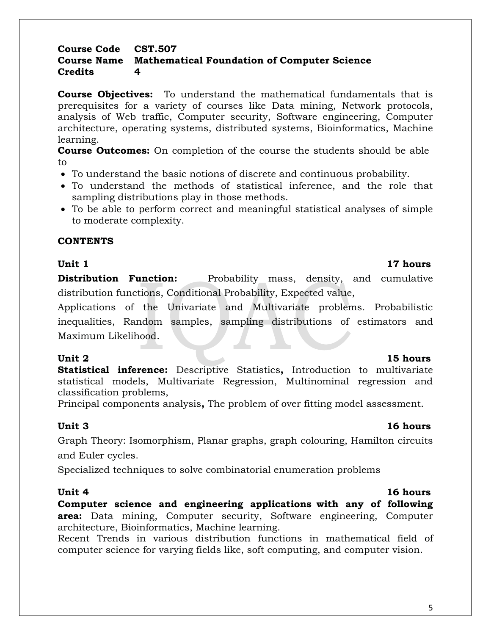5

#### **Course Code CST.507 Course Name Mathematical Foundation of Computer Science Credits 4**

**Course Objectives:** To understand the mathematical fundamentals that is prerequisites for a variety of courses like Data mining, Network protocols, analysis of Web traffic, Computer security, Software engineering, Computer architecture, operating systems, distributed systems, Bioinformatics, Machine learning.

**Course Outcomes:** On completion of the course the students should be able to

- To understand the basic notions of discrete and continuous probability.
- To understand the methods of statistical inference, and the role that sampling distributions play in those methods.
- To be able to perform correct and meaningful statistical analyses of simple to moderate complexity.

### **CONTENTS**

### **Unit 1** 17 hours

**Distribution Function:** Probability mass, density, and cumulative distribution functions, Conditional Probability, Expected value,

Applications of the Univariate and Multivariate problems. Probabilistic inequalities, Random samples, sampling distributions of estimators and Maximum Likelihood.

**Statistical inference:** Descriptive Statistics**,** Introduction to multivariate statistical models, Multivariate Regression, Multinominal regression and classification problems,

Principal components analysis**,** The problem of over fitting model assessment.

## **Unit 3 16 hours**

Graph Theory: Isomorphism, Planar graphs, graph colouring, Hamilton circuits and Euler cycles.

Specialized techniques to solve combinatorial enumeration problems

**Computer science and engineering applications with any of following area:** Data mining, Computer security, Software engineering, Computer architecture, Bioinformatics, Machine learning.

Recent Trends in various distribution functions in mathematical field of computer science for varying fields like, soft computing, and computer vision.

## **Unit 2** 15 hours

## **Unit 4** 16 hours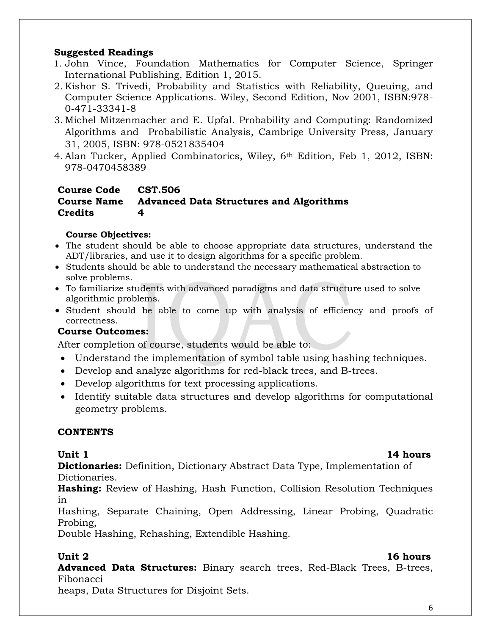### **Suggested Readings**

- 1. John Vince, Foundation Mathematics for Computer Science, Springer International Publishing, Edition 1, 2015.
- 2. Kishor S. Trivedi, Probability and Statistics with Reliability, Queuing, and Computer Science Applications. Wiley, Second Edition, Nov 2001, ISBN:978- 0-471-33341-8
- 3. Michel Mitzenmacher and E. Upfal. Probability and Computing: Randomized Algorithms and Probabilistic Analysis, Cambrige University Press, January 31, 2005, ISBN: 978-0521835404
- 4. Alan Tucker, Applied Combinatorics, Wiley, 6th Edition, Feb 1, 2012, ISBN: 978-0470458389

#### **Course Code CST.506 Course Name Advanced Data Structures and Algorithms Credits 4**

### **Course Objectives:**

- The student should be able to choose appropriate data structures, understand the ADT/libraries, and use it to design algorithms for a specific problem.
- Students should be able to understand the necessary mathematical abstraction to solve problems.
- To familiarize students with advanced paradigms and data structure used to solve algorithmic problems.
- Student should be able to come up with analysis of efficiency and proofs of correctness.

## **Course Outcomes:**

After completion of course, students would be able to:

- Understand the implementation of symbol table using hashing techniques.
- Develop and analyze algorithms for red-black trees, and B-trees.
- Develop algorithms for text processing applications.
- Identify suitable data structures and develop algorithms for computational geometry problems.

## **CONTENTS**

**Dictionaries:** Definition, Dictionary Abstract Data Type, Implementation of Dictionaries.

**Hashing:** Review of Hashing, Hash Function, Collision Resolution Techniques in

Hashing, Separate Chaining, Open Addressing, Linear Probing, Quadratic Probing,

Double Hashing, Rehashing, Extendible Hashing.

## **Unit 2** 16 hours

Advanced Data Structures: Binary search trees, Red-Black Trees, B-trees, Fibonacci

heaps, Data Structures for Disjoint Sets.

## **Unit 1** 14 hours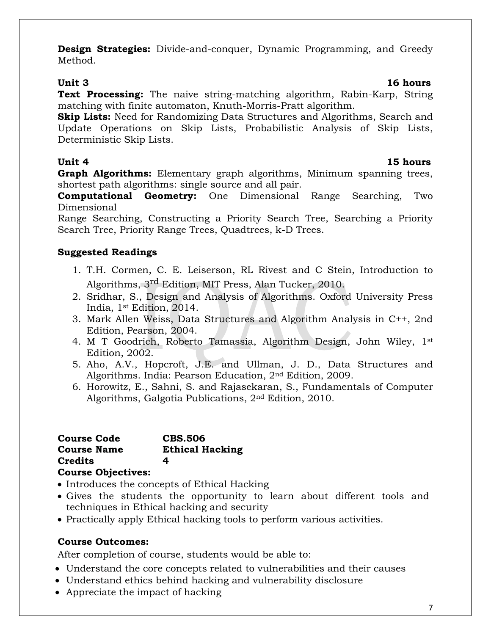**Design Strategies:** Divide-and-conquer, Dynamic Programming, and Greedy Method.

### **Unit 3 16 hours**

**Text Processing:** The naive string-matching algorithm, Rabin-Karp, String matching with finite automaton, Knuth-Morris-Pratt algorithm.

**Skip Lists:** Need for Randomizing Data Structures and Algorithms, Search and Update Operations on Skip Lists, Probabilistic Analysis of Skip Lists, Deterministic Skip Lists.

**Unit 4 15 hours**

**Graph Algorithms:** Elementary graph algorithms, Minimum spanning trees, shortest path algorithms: single source and all pair.

**Computational Geometry:** One Dimensional Range Searching, Two Dimensional

Range Searching, Constructing a Priority Search Tree, Searching a Priority Search Tree, Priority Range Trees, Quadtrees, k-D Trees.

## **Suggested Readings**

- 1. T.H. Cormen, C. E. Leiserson, RL Rivest and C Stein, Introduction to Algorithms, 3<sup>rd</sup> Edition, MIT Press, Alan Tucker, 2010.
- 2. Sridhar, S., Design and Analysis of Algorithms. Oxford University Press India, 1st Edition, 2014.
- 3. Mark Allen Weiss, Data Structures and Algorithm Analysis in C++, 2nd Edition, Pearson, 2004.
- 4. M T Goodrich, Roberto Tamassia, Algorithm Design, John Wiley, 1st Edition, 2002.
- 5. Aho, A.V., Hopcroft, J.E. and Ullman, J. D., Data Structures and Algorithms. India: Pearson Education, 2nd Edition, 2009.
- 6. Horowitz, E., Sahni, S. and Rajasekaran, S., Fundamentals of Computer Algorithms, Galgotia Publications, 2nd Edition, 2010.

| <b>Course Code</b>        | <b>CBS.506</b>         |
|---------------------------|------------------------|
| <b>Course Name</b>        | <b>Ethical Hacking</b> |
| Credits                   | 4                      |
| <b>Course Objectives:</b> |                        |

- Introduces the concepts of Ethical Hacking
- Gives the students the opportunity to learn about different tools and techniques in Ethical hacking and security
- Practically apply Ethical hacking tools to perform various activities.

## **Course Outcomes:**

After completion of course, students would be able to:

- Understand the core concepts related to vulnerabilities and their causes
- Understand ethics behind hacking and vulnerability disclosure
- Appreciate the impact of hacking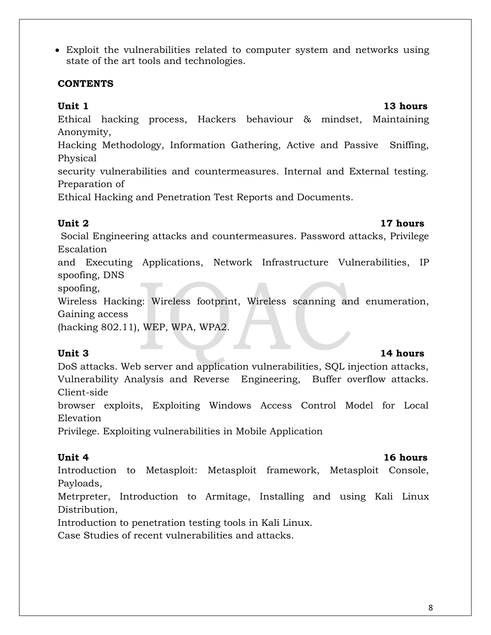8

 Exploit the vulnerabilities related to computer system and networks using state of the art tools and technologies.

## **CONTENTS**

Ethical hacking process, Hackers behaviour & mindset, Maintaining Anonymity,

Hacking Methodology, Information Gathering, Active and Passive Sniffing, Physical

security vulnerabilities and countermeasures. Internal and External testing. Preparation of

Ethical Hacking and Penetration Test Reports and Documents.

### **Unit 2** 17 hours

Social Engineering attacks and countermeasures. Password attacks, Privilege Escalation

and Executing Applications, Network Infrastructure Vulnerabilities, IP spoofing, DNS

spoofing,

Wireless Hacking: Wireless footprint, Wireless scanning and enumeration, Gaining access

(hacking 802.11), WEP, WPA, WPA2.

## Unit 3 14 hours

DoS attacks. Web server and application vulnerabilities, SQL injection attacks, Vulnerability Analysis and Reverse Engineering, Buffer overflow attacks. Client-side

browser exploits, Exploiting Windows Access Control Model for Local Elevation

Privilege. Exploiting vulnerabilities in Mobile Application

## **Unit 4** 16 hours

Introduction to Metasploit: Metasploit framework, Metasploit Console, Payloads,

Metrpreter, Introduction to Armitage, Installing and using Kali Linux Distribution,

Introduction to penetration testing tools in Kali Linux.

Case Studies of recent vulnerabilities and attacks.

## **Unit 1** 13 hours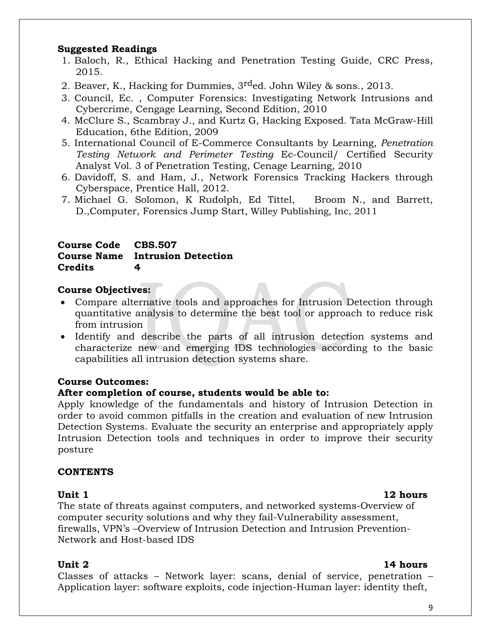#### **Suggested Readings**

- 1. Baloch, R., Ethical Hacking and Penetration Testing Guide, CRC Press, 2015.
- 2. Beaver, K., Hacking for Dummies, 3<sup>rd</sup>ed. John Wiley & sons., 2013.
- 3. [Council, Ec. ,](http://www.google.co.in/search?tbo=p&tbm=bks&q=inauthor:%22Ec-Council%22&source=gbs_metadata_r&cad=6) Computer Forensics: Investigating Network Intrusions and Cybercrime, Cengage Learning, Second Edition, 2010
- 4. McClure S., Scambray J., and Kurtz G, Hacking Exposed. Tata McGraw-Hill Education, 6the Edition, 2009
- 5. International Council of E-Commerce Consultants by Learning, *Penetration Testing Network and Perimeter Testing* Ec-Council/ Certified Security Analyst Vol. 3 of Penetration Testing, Cenage Learning, 2010
- 6. Davidoff, S. and Ham, J., Network Forensics Tracking Hackers through Cyberspace, Prentice Hall, 2012.
- 7. Michael G. Solomon, K Rudolph, Ed Tittel, Broom N., and Barrett, D.,Computer, Forensics Jump Start, Willey Publishing, Inc, 2011

### **Course Code CBS.507 Course Name Intrusion Detection Credits 4**

### **Course Objectives:**

- Compare alternative tools and approaches for Intrusion Detection through quantitative analysis to determine the best tool or approach to reduce risk from intrusion
- Identify and describe the parts of all intrusion detection systems and characterize new and emerging IDS technologies according to the basic capabilities all intrusion detection systems share.

### **Course Outcomes:**

### **After completion of course, students would be able to:**

Apply knowledge of the fundamentals and history of Intrusion Detection in order to avoid common pitfalls in the creation and evaluation of new Intrusion Detection Systems. Evaluate the security an enterprise and appropriately apply Intrusion Detection tools and techniques in order to improve their security posture

### **CONTENTS**

### Unit 1 12 hours

The state of threats against computers, and networked systems-Overview of computer security solutions and why they fail-Vulnerability assessment, firewalls, VPN's –Overview of Intrusion Detection and Intrusion Prevention-Network and Host-based IDS

### **Unit 2** 14 hours

Classes of attacks – Network layer: scans, denial of service, penetration – Application layer: software exploits, code injection-Human layer: identity theft,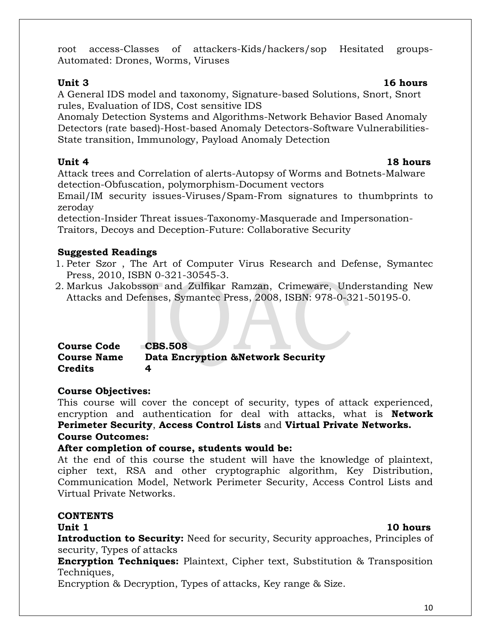root access-Classes of attackers-Kids/hackers/sop Hesitated groups-Automated: Drones, Worms, Viruses

## **Unit 3 16 hours**

A General IDS model and taxonomy, Signature-based Solutions, Snort, Snort rules, Evaluation of IDS, Cost sensitive IDS

Anomaly Detection Systems and Algorithms-Network Behavior Based Anomaly Detectors (rate based)-Host-based Anomaly Detectors-Software Vulnerabilities-State transition, Immunology, Payload Anomaly Detection

Attack trees and Correlation of alerts-Autopsy of Worms and Botnets-Malware detection-Obfuscation, polymorphism-Document vectors

Email/IM security issues-Viruses/Spam-From signatures to thumbprints to zeroday

detection-Insider Threat issues-Taxonomy-Masquerade and Impersonation-Traitors, Decoys and Deception-Future: Collaborative Security

## **Suggested Readings**

- 1. Peter Szor , The Art of Computer Virus Research and Defense, Symantec Press, 2010, ISBN 0-321-30545-3.
- 2. Markus Jakobsson and Zulfikar Ramzan, Crimeware, Understanding New Attacks and Defenses, Symantec Press, 2008, ISBN: 978-0-321-50195-0.

| <b>Course Code</b> | <b>CBS.508</b>                               |
|--------------------|----------------------------------------------|
| <b>Course Name</b> | <b>Data Encryption &amp;Network Security</b> |
| <b>Credits</b>     |                                              |

## **Course Objectives:**

This course will cover the concept of security, types of attack experienced, encryption and authentication for deal with attacks, what is **Network Perimeter Security**, **Access Control Lists** and **Virtual Private Networks.**

## **Course Outcomes:**

## **After completion of course, students would be:**

At the end of this course the student will have the knowledge of plaintext, cipher text, RSA and other cryptographic algorithm, Key Distribution, Communication Model, Network Perimeter Security, Access Control Lists and Virtual Private Networks.

## **CONTENTS**

**Introduction to Security:** Need for security, Security approaches, Principles of security, Types of attacks

**Encryption Techniques:** Plaintext, Cipher text, Substitution & Transposition Techniques,

Encryption & Decryption, Types of attacks, Key range & Size.

## **Unit 4** 18 hours

## **Unit 1** 10 hours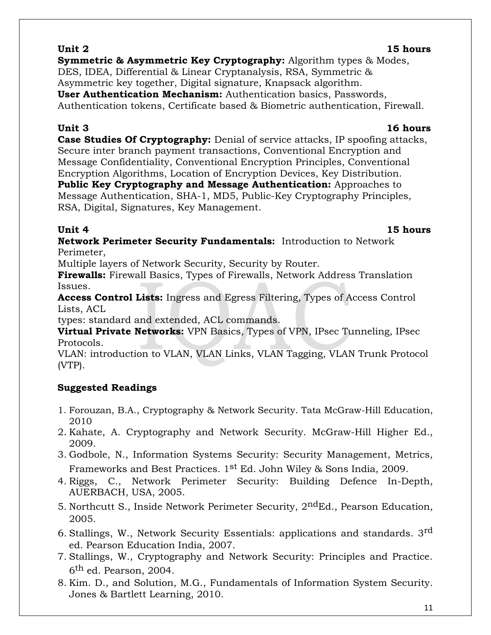**Unit 2 15 hours Symmetric & Asymmetric Key Cryptography:** Algorithm types & Modes, DES, IDEA, Differential & Linear Cryptanalysis, RSA, Symmetric & Asymmetric key together, Digital signature, Knapsack algorithm. **User Authentication Mechanism:** Authentication basics, Passwords, Authentication tokens, Certificate based & Biometric authentication, Firewall.

**Case Studies Of Cryptography:** Denial of service attacks, IP spoofing attacks, Secure inter branch payment transactions, Conventional Encryption and Message Confidentiality, Conventional Encryption Principles, Conventional Encryption Algorithms, Location of Encryption Devices, Key Distribution. **Public Key Cryptography and Message Authentication:** Approaches to Message Authentication, SHA-1, MD5, Public-Key Cryptography Principles, RSA, Digital, Signatures, Key Management.

**Network Perimeter Security Fundamentals:** Introduction to Network Perimeter,

Multiple layers of Network Security, Security by Router.

**Firewalls:** Firewall Basics, Types of Firewalls, Network Address Translation Issues.

**Access Control Lists:** Ingress and Egress Filtering, Types of Access Control Lists, ACL

types: standard and extended, ACL commands.

**Virtual Private Networks:** VPN Basics, Types of VPN, IPsec Tunneling, IPsec Protocols.

VLAN: introduction to VLAN, VLAN Links, VLAN Tagging, VLAN Trunk Protocol (VTP).

## **Suggested Readings**

- 1. Forouzan, B.A., Cryptography & Network Security. Tata McGraw-Hill Education, 2010
- 2. Kahate, A. Cryptography and Network Security. McGraw-Hill Higher Ed., 2009.
- 3. Godbole, N., Information Systems Security: Security Management, Metrics, Frameworks and Best Practices. 1<sup>st</sup> Ed. John Wiley & Sons India, 2009.
- 4. Riggs, C., Network Perimeter Security: Building Defence In-Depth, AUERBACH, USA, 2005.
- 5. Northcutt S., Inside Network Perimeter Security,  $2<sup>nd</sup>Ed$ ., Pearson Education, 2005.
- 6. Stallings, W., Network Security Essentials: applications and standards. 3rd ed. Pearson Education India, 2007.
- 7. Stallings, W., Cryptography and Network Security: Principles and Practice. 6 th ed. Pearson, 2004.
- 8. Kim. D., and Solution, M.G., Fundamentals of Information System Security. Jones & Bartlett Learning, 2010.

## **Unit 3 16 hours**

**Unit 4 15 hours**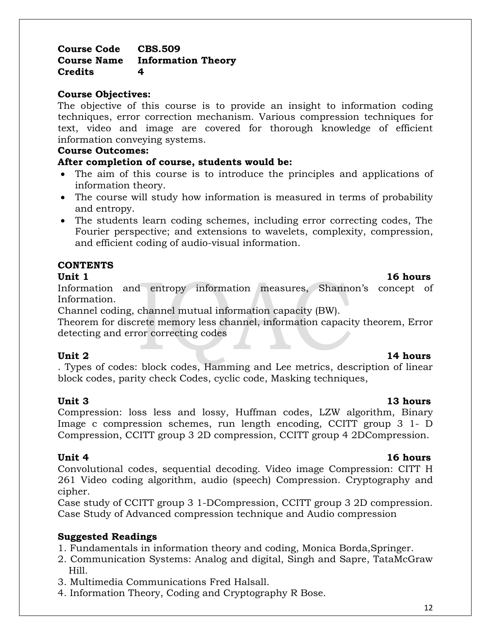12

#### **Course Code CBS.509 Course Name Information Theory Credits 4**

#### **Course Objectives:**

The objective of this course is to provide an insight to information coding techniques, error correction mechanism. Various compression techniques for text, video and image are covered for thorough knowledge of efficient information conveying systems.

#### **Course Outcomes:**

#### **After completion of course, students would be:**

- The aim of this course is to introduce the principles and applications of information theory.
- The course will study how information is measured in terms of probability and entropy.
- The students learn coding schemes, including error correcting codes, The Fourier perspective; and extensions to wavelets, complexity, compression, and efficient coding of audio-visual information.

#### **CONTENTS**

#### **Unit 1** 16 hours

Information and entropy information measures, Shannon's concept of Information.

Channel coding, channel mutual information capacity (BW).

Theorem for discrete memory less channel, information capacity theorem, Error detecting and error correcting codes

. Types of codes: block codes, Hamming and Lee metrics, description of linear block codes, parity check Codes, cyclic code, Masking techniques,

## Compression: loss less and lossy, Huffman codes, LZW algorithm, Binary Image c compression schemes, run length encoding, CCITT group 3 1- D Compression, CCITT group 3 2D compression, CCITT group 4 2DCompression.

#### **Unit 4** 16 hours

Convolutional codes, sequential decoding. Video image Compression: CITT H 261 Video coding algorithm, audio (speech) Compression. Cryptography and cipher.

Case study of CCITT group 3 1-DCompression, CCITT group 3 2D compression. Case Study of Advanced compression technique and Audio compression

### **Suggested Readings**

1. Fundamentals in information theory and coding, Monica Borda,Springer.

- 2. Communication Systems: Analog and digital, Singh and Sapre, TataMcGraw Hill.
- 3. Multimedia Communications Fred Halsall.
- 4. Information Theory, Coding and Cryptography R Bose.

## **Unit 2** 14 hours

#### **Unit 3 13 hours**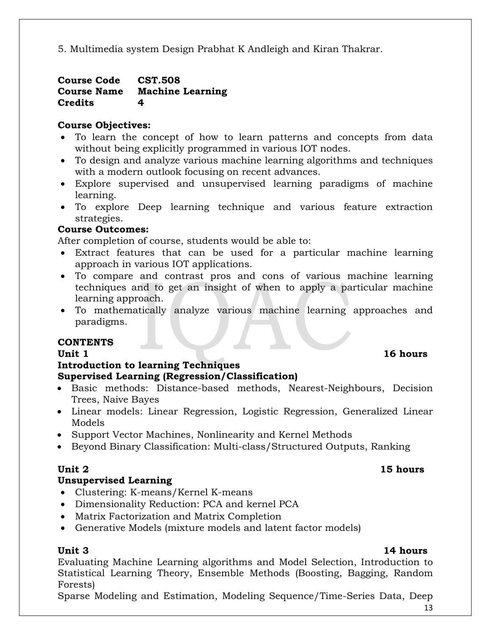5. Multimedia system Design Prabhat K Andleigh and Kiran Thakrar.

#### **Course Code CST.508 Course Name Machine Learning Credits 4**

### **Course Objectives:**

- To learn the concept of how to learn patterns and concepts from data without being explicitly programmed in various IOT nodes.
- To design and analyze various machine learning algorithms and techniques with a modern outlook focusing on recent advances.
- Explore supervised and unsupervised learning paradigms of machine learning.
- To explore Deep learning technique and various feature extraction strategies.

### **Course Outcomes:**

After completion of course, students would be able to:

- Extract features that can be used for a particular machine learning approach in various IOT applications.
- To compare and contrast pros and cons of various machine learning techniques and to get an insight of when to apply a particular machine learning approach.
- To mathematically analyze various machine learning approaches and paradigms.

### **CONTENTS**

### **Introduction to learning Techniques Supervised Learning (Regression/Classification)**

- Basic methods: Distance-based methods, Nearest-Neighbours, Decision Trees, Naive Bayes
- Linear models: Linear Regression, Logistic Regression, Generalized Linear Models
- Support Vector Machines, Nonlinearity and Kernel Methods
- Beyond Binary Classification: Multi-class/Structured Outputs, Ranking

## **Unit 2** 15 hours

## **Unsupervised Learning**

- Clustering: K-means/Kernel K-means
- Dimensionality Reduction: PCA and kernel PCA
- Matrix Factorization and Matrix Completion
- Generative Models (mixture models and latent factor models)

## **Unit 3 14 hours**

Evaluating Machine Learning algorithms and Model Selection, Introduction to Statistical Learning Theory, Ensemble Methods (Boosting, Bagging, Random Forests)

Sparse Modeling and Estimation, Modeling Sequence/Time-Series Data, Deep

## Unit 1 16 hours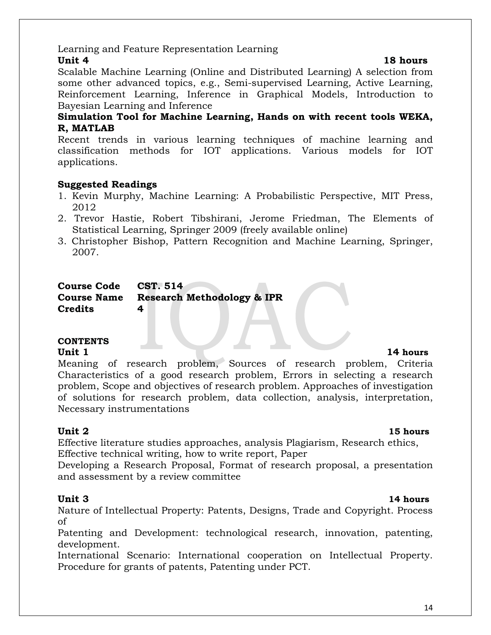14

## Learning and Feature Representation Learning

**Unit 4** 18 hours Scalable Machine Learning (Online and Distributed Learning) A selection from some other advanced topics, e.g., Semi-supervised Learning, Active Learning, Reinforcement Learning, Inference in Graphical Models, Introduction to Bayesian Learning and Inference

### **Simulation Tool for Machine Learning, Hands on with recent tools WEKA, R, MATLAB**

Recent trends in various learning techniques of machine learning and classification methods for IOT applications. Various models for IOT applications.

### **Suggested Readings**

- 1. Kevin Murphy, Machine Learning: A Probabilistic Perspective, MIT Press, 2012
- 2. Trevor Hastie, Robert Tibshirani, Jerome Friedman, The Elements of Statistical Learning, Springer 2009 (freely available online)
- 3. Christopher Bishop, Pattern Recognition and Machine Learning, Springer, 2007.

| <b>Course Code</b> | CST. 514                               |
|--------------------|----------------------------------------|
|                    | Course Name Research Methodology & IPR |
| <b>Credits</b>     |                                        |

# **CONTENTS**

#### Unit 1 14 **hours** Meaning of research problem, Sources of research problem, Criteria Characteristics of a good research problem, Errors in selecting a research problem, Scope and objectives of research problem. Approaches of investigation of solutions for research problem, data collection, analysis, interpretation, Necessary instrumentations

## **Unit 2 15 hours**

Effective literature studies approaches, analysis Plagiarism, Research ethics, Effective technical writing, how to write report, Paper

Developing a Research Proposal, Format of research proposal, a presentation and assessment by a review committee

Nature of Intellectual Property: Patents, Designs, Trade and Copyright. Process of

Patenting and Development: technological research, innovation, patenting, development.

International Scenario: International cooperation on Intellectual Property. Procedure for grants of patents, Patenting under PCT.

## **Unit 3 14 hours**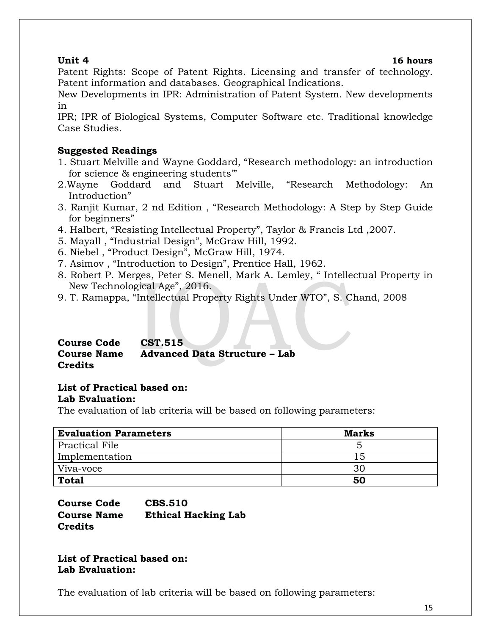#### **Unit 4 16 hours**

Patent Rights: Scope of Patent Rights. Licensing and transfer of technology. Patent information and databases. Geographical Indications.

New Developments in IPR: Administration of Patent System. New developments in

IPR; IPR of Biological Systems, Computer Software etc. Traditional knowledge Case Studies.

### **Suggested Readings**

- 1. Stuart Melville and Wayne Goddard, "Research methodology: an introduction for science & engineering students'"
- 2.Wayne Goddard and Stuart Melville, "Research Methodology: An Introduction"
- 3. Ranjit Kumar, 2 nd Edition , "Research Methodology: A Step by Step Guide for beginners"
- 4. Halbert, "Resisting Intellectual Property", Taylor & Francis Ltd ,2007.
- 5. Mayall , "Industrial Design", McGraw Hill, 1992.
- 6. Niebel , "Product Design", McGraw Hill, 1974.
- 7. Asimov , "Introduction to Design", Prentice Hall, 1962.
- 8. Robert P. Merges, Peter S. Menell, Mark A. Lemley, " Intellectual Property in New Technological Age", 2016.
- 9. T. Ramappa, "Intellectual Property Rights Under WTO", S. Chand, 2008

#### **Course Code CST.515 Course Name Advanced Data Structure – Lab Credits**

# **List of Practical based on:**

### **Lab Evaluation:**

The evaluation of lab criteria will be based on following parameters:

| <b>Evaluation Parameters</b> | <b>Marks</b> |
|------------------------------|--------------|
| <b>Practical File</b>        |              |
| Implementation               | 15           |
| Viva-voce                    | 30           |
| <b>Total</b>                 | 50           |

**Course Code CBS.510 Course Name Ethical Hacking Lab Credits**

**List of Practical based on: Lab Evaluation:**

The evaluation of lab criteria will be based on following parameters: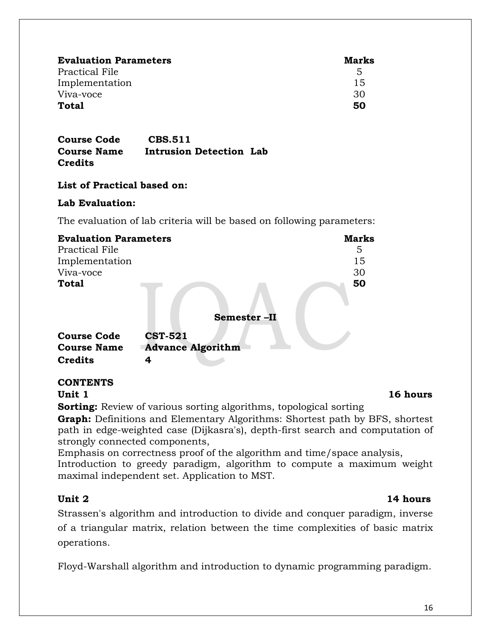| <b>Evaluation Parameters</b> | <b>Marks</b> |
|------------------------------|--------------|
| Practical File               | 5            |
| Implementation               | 15           |
| Viva-voce                    | 30           |
| Total                        | 50           |

**Course Code CBS.511 Course Name Intrusion Detection Lab Credits**

### **List of Practical based on:**

#### **Lab Evaluation:**

The evaluation of lab criteria will be based on following parameters:

| <b>Evaluation Parameters</b> |                          | <b>Marks</b> |
|------------------------------|--------------------------|--------------|
| Practical File               |                          | 5            |
| Implementation               |                          | 15           |
| Viva-voce                    |                          | 30           |
| <b>Total</b>                 |                          | 50           |
|                              | Semester-II              |              |
| <b>Course Code</b>           | <b>CST-521</b>           |              |
| <b>Course Name</b>           | <b>Advance Algorithm</b> |              |
| <b>Credits</b>               |                          |              |

## **CONTENTS**

**Sorting:** Review of various sorting algorithms, topological sorting

**Graph:** Definitions and Elementary Algorithms: Shortest path by BFS, shortest path in edge-weighted case (Dijkasra's), depth-first search and computation of strongly connected components,

Emphasis on correctness proof of the algorithm and time/space analysis, Introduction to greedy paradigm, algorithm to compute a maximum weight maximal independent set. Application to MST.

## **Unit 2** 14 hours

Strassen's algorithm and introduction to divide and conquer paradigm, inverse of a triangular matrix, relation between the time complexities of basic matrix operations.

Floyd-Warshall algorithm and introduction to dynamic programming paradigm.

#### **Unit 1 16 hours**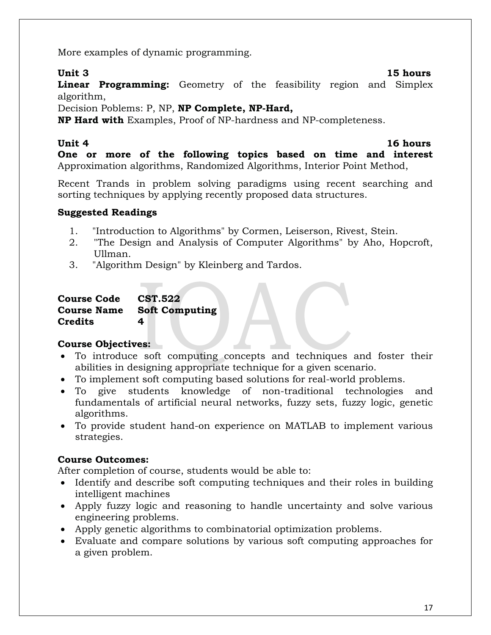More examples of dynamic programming.

**Unit 3 15 hours**

**Linear Programming:** Geometry of the feasibility region and Simplex algorithm,

Decision Poblems: P, NP, **NP Complete, NP-Hard,**

**NP Hard with** Examples, Proof of NP-hardness and NP-completeness.

### **Unit 4** 16 hours

**One or more of the following topics based on time and interest**  Approximation algorithms, Randomized Algorithms, Interior Point Method,

Recent Trands in problem solving paradigms using recent searching and sorting techniques by applying recently proposed data structures.

### **Suggested Readings**

- 1. "Introduction to Algorithms" by Cormen, Leiserson, Rivest, Stein.
- 2. "The Design and Analysis of Computer Algorithms" by Aho, Hopcroft, Ullman.
- 3. "Algorithm Design" by Kleinberg and Tardos.

| <b>Course Code</b> | <b>CST.522</b>        |
|--------------------|-----------------------|
| <b>Course Name</b> | <b>Soft Computing</b> |
| Credits            | 4                     |

## **Course Objectives:**

- To introduce soft computing concepts and techniques and foster their abilities in designing appropriate technique for a given scenario.
- To implement soft computing based solutions for real-world problems.
- To give students knowledge of non-traditional technologies and fundamentals of artificial neural networks, fuzzy sets, fuzzy logic, genetic algorithms.
- To provide student hand-on experience on MATLAB to implement various strategies.

## **Course Outcomes:**

After completion of course, students would be able to:

- Identify and describe soft computing techniques and their roles in building intelligent machines
- Apply fuzzy logic and reasoning to handle uncertainty and solve various engineering problems.
- Apply genetic algorithms to combinatorial optimization problems.
- Evaluate and compare solutions by various soft computing approaches for a given problem.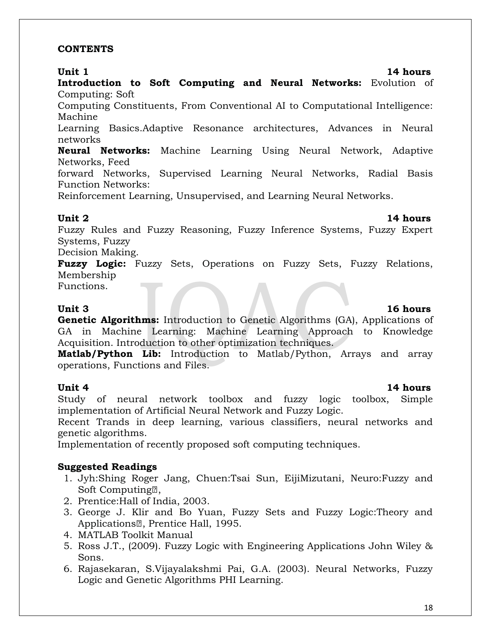#### **CONTENTS**

**Introduction to Soft Computing and Neural Networks:** Evolution of Computing: Soft

Computing Constituents, From Conventional AI to Computational Intelligence: Machine

Learning Basics.Adaptive Resonance architectures, Advances in Neural networks

**Neural Networks:** Machine Learning Using Neural Network, Adaptive Networks, Feed

forward Networks, Supervised Learning Neural Networks, Radial Basis Function Networks:

Reinforcement Learning, Unsupervised, and Learning Neural Networks.

### **Unit 2** 14 hours

Fuzzy Rules and Fuzzy Reasoning, Fuzzy Inference Systems, Fuzzy Expert Systems, Fuzzy

Decision Making.

**Fuzzy Logic:** Fuzzy Sets, Operations on Fuzzy Sets, Fuzzy Relations, Membership

Functions.

### **Unit 3 16 hours**

**Genetic Algorithms:** Introduction to Genetic Algorithms (GA), Applications of GA in Machine Learning: Machine Learning Approach to Knowledge Acquisition. Introduction to other optimization techniques.

**Matlab/Python Lib:** Introduction to Matlab/Python, Arrays and array operations, Functions and Files.

### **Unit 4** 14 hours

Study of neural network toolbox and fuzzy logic toolbox, Simple implementation of Artificial Neural Network and Fuzzy Logic.

Recent Trands in deep learning, various classifiers, neural networks and genetic algorithms.

Implementation of recently proposed soft computing techniques.

## **Suggested Readings**

- 1. Jyh:Shing Roger Jang, Chuen:Tsai Sun, EijiMizutani, Neuro:Fuzzy and Soft Computing<sup>2</sup>.
- 2. Prentice:Hall of India, 2003.
- 3. George J. Klir and Bo Yuan, Fuzzy Sets and Fuzzy Logic:Theory and Applications<sup>2</sup>, Prentice Hall, 1995.
- 4. MATLAB Toolkit Manual
- 5. Ross J.T., (2009). Fuzzy Logic with Engineering Applications John Wiley & Sons.
- 6. Rajasekaran, S.Vijayalakshmi Pai, G.A. (2003). Neural Networks, Fuzzy Logic and Genetic Algorithms PHI Learning.

## **Unit 1** 14 hours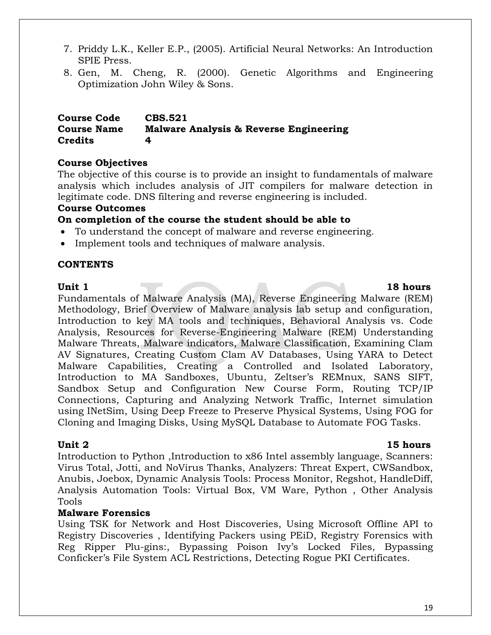- 7. Priddy L.K., Keller E.P., (2005). Artificial Neural Networks: An Introduction SPIE Press.
- 8. Gen, M. Cheng, R. (2000). Genetic Algorithms and Engineering Optimization John Wiley & Sons.

#### **Course Code CBS.521 Course Name Malware Analysis & Reverse Engineering Credits 4**

### **Course Objectives**

The objective of this course is to provide an insight to fundamentals of malware analysis which includes analysis of JIT compilers for malware detection in legitimate code. DNS filtering and reverse engineering is included.

#### **Course Outcomes**

### **On completion of the course the student should be able to**

- To understand the concept of malware and reverse engineering.
- Implement tools and techniques of malware analysis.

#### **CONTENTS**

#### Unit 1 18 hours

### Fundamentals of Malware Analysis (MA), Reverse Engineering Malware (REM) Methodology, Brief Overview of Malware analysis lab setup and configuration, Introduction to key MA tools and techniques, Behavioral Analysis vs. Code Analysis, Resources for Reverse-Engineering Malware (REM) Understanding Malware Threats, Malware indicators, Malware Classification, Examining Clam AV Signatures, Creating Custom Clam AV Databases, Using YARA to Detect Malware Capabilities, Creating a Controlled and Isolated Laboratory, Introduction to MA Sandboxes, Ubuntu, Zeltser's REMnux, SANS SIFT, Sandbox Setup and Configuration New Course Form, Routing TCP/IP Connections, Capturing and Analyzing Network Traffic, Internet simulation using INetSim, Using Deep Freeze to Preserve Physical Systems, Using FOG for Cloning and Imaging Disks, Using MySQL Database to Automate FOG Tasks.

Unit 2 15 hours Introduction to Python ,Introduction to x86 Intel assembly language, Scanners: Virus Total, Jotti, and NoVirus Thanks, Analyzers: Threat Expert, CWSandbox, Anubis, Joebox, Dynamic Analysis Tools: Process Monitor, Regshot, HandleDiff, Analysis Automation Tools: Virtual Box, VM Ware, Python , Other Analysis Tools

### **Malware Forensics**

Using TSK for Network and Host Discoveries, Using Microsoft Offline API to Registry Discoveries , Identifying Packers using PEiD, Registry Forensics with Reg Ripper Plu-gins:, Bypassing Poison Ivy's Locked Files, Bypassing Conficker's File System ACL Restrictions, Detecting Rogue PKI Certificates.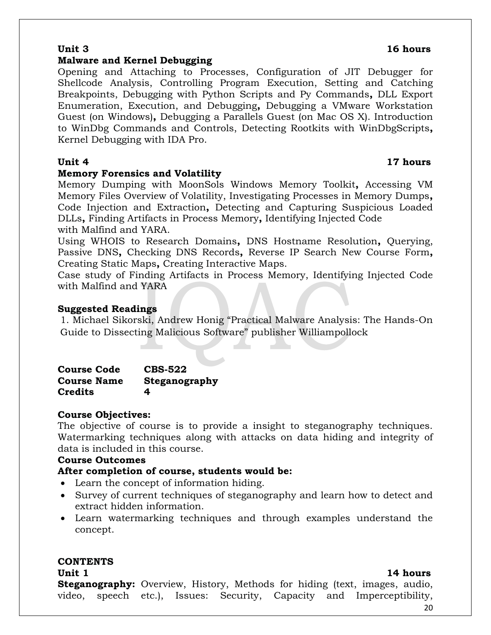**Steganography:** Overview, History, Methods for hiding (text, images, audio, video, speech etc.), Issues: Security, Capacity and Imperceptibility,

#### **Malware and Kernel Debugging**

Opening and Attaching to Processes, Configuration of JIT Debugger for Shellcode Analysis, Controlling Program Execution, Setting and Catching Breakpoints, Debugging with Python Scripts and Py Commands**,** DLL Export Enumeration, Execution, and Debugging**,** Debugging a VMware Workstation Guest (on Windows)**,** Debugging a Parallels Guest (on Mac OS X). Introduction to WinDbg Commands and Controls, Detecting Rootkits with WinDbgScripts**,** Kernel Debugging with IDA Pro.

#### **Unit 4** 17 hours

### **Memory Forensics and Volatility**

Memory Dumping with MoonSols Windows Memory Toolkit**,** Accessing VM Memory Files Overview of Volatility, Investigating Processes in Memory Dumps**,**  Code Injection and Extraction**,** Detecting and Capturing Suspicious Loaded DLLs**,** Finding Artifacts in Process Memory**,** Identifying Injected Code with Malfind and YARA.

Using WHOIS to Research Domains**,** DNS Hostname Resolution**,** Querying, Passive DNS**,** Checking DNS Records**,** Reverse IP Search New Course Form**,**  Creating Static Maps**,** Creating Interactive Maps.

Case study of Finding Artifacts in Process Memory, Identifying Injected Code with Malfind and YARA

### **Suggested Readings**

1. Michael Sikorski, Andrew Honig "Practical Malware Analysis: The Hands-On Guide to Dissecting Malicious Software" publisher Williampollock

| <b>Course Code</b> | <b>CBS-522</b> |
|--------------------|----------------|
| <b>Course Name</b> | Steganography  |
| <b>Credits</b>     | 4              |

### **Course Objectives:**

The objective of course is to provide a insight to steganography techniques. Watermarking techniques along with attacks on data hiding and integrity of data is included in this course.

### **Course Outcomes**

### **After completion of course, students would be:**

- Learn the concept of information hiding.
- Survey of current techniques of steganography and learn how to detect and extract hidden information.
- Learn watermarking techniques and through examples understand the concept.

## **CONTENTS**

## **Unit 1** 14 hours

### **Unit 3 16 hours**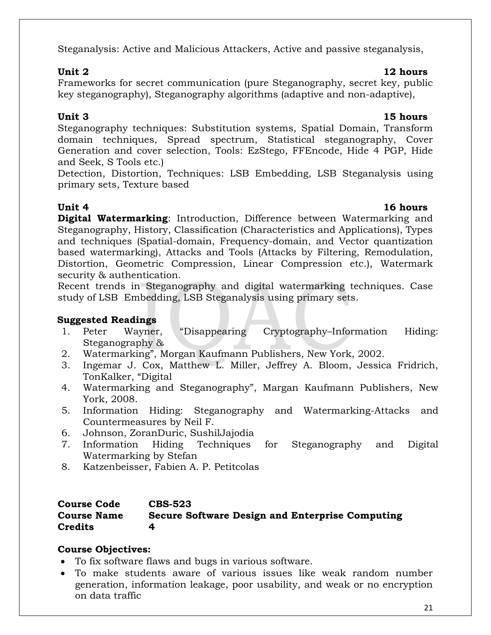## Steganalysis: Active and Malicious Attackers, Active and passive steganalysis,

## **Unit 2** 12 hours

Frameworks for secret communication (pure Steganography, secret key, public key steganography), Steganography algorithms (adaptive and non-adaptive),

Steganography techniques: Substitution systems, Spatial Domain, Transform domain techniques, Spread spectrum, Statistical steganography, Cover Generation and cover selection, Tools: EzStego, FFEncode, Hide 4 PGP, Hide and Seek, S Tools etc.)

Detection, Distortion, Techniques: LSB Embedding, LSB Steganalysis using primary sets, Texture based

**Digital Watermarking**: Introduction, Difference between Watermarking and Steganography, History, Classification (Characteristics and Applications), Types and techniques (Spatial-domain, Frequency-domain, and Vector quantization based watermarking), Attacks and Tools (Attacks by Filtering, Remodulation, Distortion, Geometric Compression, Linear Compression etc.), Watermark security & authentication.

Recent trends in Steganography and digital watermarking techniques. Case study of LSB Embedding, LSB Steganalysis using primary sets.

## **Suggested Readings**

- 1. Peter Wayner, "Disappearing Cryptography–Information Hiding: Steganography &
- 2. Watermarking", Morgan Kaufmann Publishers, New York, 2002.
- 3. Ingemar J. Cox, Matthew L. Miller, Jeffrey A. Bloom, Jessica Fridrich, TonKalker, "Digital
- 4. Watermarking and Steganography", Margan Kaufmann Publishers, New York, 2008.
- 5. Information Hiding: Steganography and Watermarking-Attacks and Countermeasures by Neil F.
- 6. Johnson, ZoranDuric, SushilJajodia
- 7. Information Hiding Techniques for Steganography and Digital Watermarking by Stefan
- 8. Katzenbeisser, Fabien A. P. Petitcolas

### **Course Code CBS-523 Course Name Secure Software Design and Enterprise Computing Credits 4**

## **Course Objectives:**

- To fix software flaws and bugs in various software.
- To make students aware of various issues like weak random number generation, information leakage, poor usability, and weak or no encryption on data traffic

## **Unit 3 15 hours**

## Unit 4 16 hours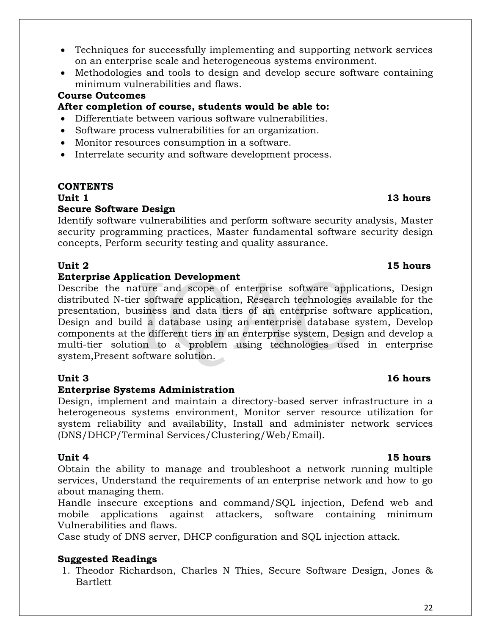- Techniques for successfully implementing and supporting network services on an enterprise scale and heterogeneous systems environment.
- Methodologies and tools to design and develop secure software containing minimum vulnerabilities and flaws.

### **Course Outcomes**

### **After completion of course, students would be able to:**

- Differentiate between various software vulnerabilities.
- Software process vulnerabilities for an organization.
- Monitor resources consumption in a software.
- Interrelate security and software development process.

## **CONTENTS**

## **Secure Software Design**

Identify software vulnerabilities and perform software security analysis, Master security programming practices, Master fundamental software security design concepts, Perform security testing and quality assurance.

## **Unit 2 15 hours**

### **Enterprise Application Development**

Describe the nature and scope of enterprise software applications, Design distributed N-tier software application, Research technologies available for the presentation, business and data tiers of an enterprise software application, Design and build a database using an enterprise database system, Develop components at the different tiers in an enterprise system, Design and develop a multi-tier solution to a problem using technologies used in enterprise system,Present software solution.

## **Enterprise Systems Administration**

Design, implement and maintain a directory-based server infrastructure in a heterogeneous systems environment, Monitor server resource utilization for system reliability and availability, Install and administer network services (DNS/DHCP/Terminal Services/Clustering/Web/Email).

Obtain the ability to manage and troubleshoot a network running multiple services, Understand the requirements of an enterprise network and how to go about managing them.

Handle insecure exceptions and command/SQL injection, Defend web and mobile applications against attackers, software containing minimum Vulnerabilities and flaws.

Case study of DNS server, DHCP configuration and SQL injection attack.

### **Suggested Readings**

1. Theodor Richardson, Charles N Thies, Secure Software Design, Jones & **Bartlett** 

#### **Unit 1** 13 hours

## **Unit 3 16 hours**

### **Unit 4** 15 hours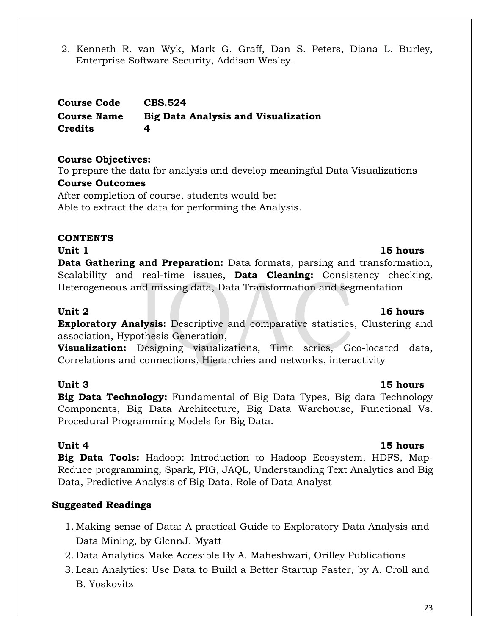2. Kenneth R. van Wyk, Mark G. Graff, Dan S. Peters, Diana L. Burley, Enterprise Software Security, Addison Wesley.

**Course Code CBS.524 Course Name Big Data Analysis and Visualization Credits 4**

### **Course Objectives:**

To prepare the data for analysis and develop meaningful Data Visualizations **Course Outcomes**

After completion of course, students would be: Able to extract the data for performing the Analysis.

## **CONTENTS**

## **Unit** 1 **15 hours**

**Data Gathering and Preparation:** Data formats, parsing and transformation, Scalability and real-time issues, **Data Cleaning:** Consistency checking, Heterogeneous and missing data, Data Transformation and segmentation

### **Unit 2 16 hours**

**Exploratory Analysis:** Descriptive and comparative statistics, Clustering and association, Hypothesis Generation,

**Visualization:** Designing visualizations, Time series, Geo-located data, Correlations and connections, Hierarchies and networks, interactivity

## **Unit 3 15 hours**

**Big Data Technology:** Fundamental of Big Data Types, Big data Technology Components, Big Data Architecture, Big Data Warehouse, Functional Vs. Procedural Programming Models for Big Data.

**Unit 4** 15 hours **Big Data Tools:** Hadoop: Introduction to Hadoop Ecosystem, HDFS, Map-Reduce programming, Spark, PIG, JAQL, Understanding Text Analytics and Big Data, Predictive Analysis of Big Data, Role of Data Analyst

## **Suggested Readings**

- 1. Making sense of Data: A practical Guide to Exploratory Data Analysis and Data Mining, by GlennJ. Myatt
- 2. Data Analytics Make Accesible By A. Maheshwari, Orilley Publications
- 3. Lean Analytics: Use Data to Build a Better Startup Faster, by A. Croll and B. Yoskovitz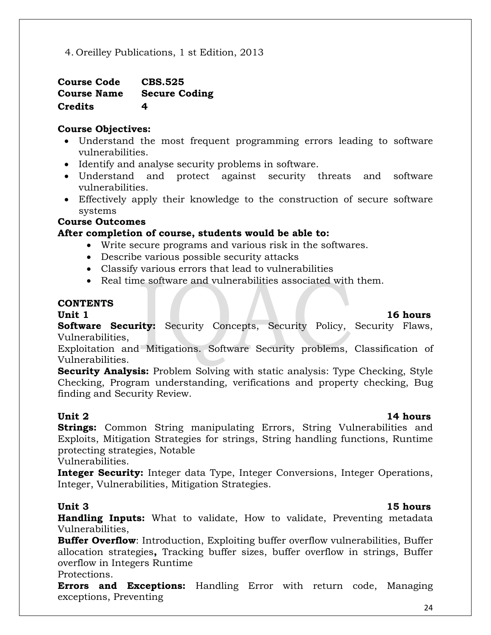4. Oreilley Publications, 1 st Edition, 2013

| <b>Course Code</b> | <b>CBS.525</b>       |
|--------------------|----------------------|
| <b>Course Name</b> | <b>Secure Coding</b> |
| <b>Credits</b>     | 4                    |

## **Course Objectives:**

- Understand the most frequent programming errors leading to software vulnerabilities.
- Identify and analyse security problems in software.
- Understand and protect against security threats and software vulnerabilities.
- Effectively apply their knowledge to the construction of secure software systems

## **Course Outcomes**

## **After completion of course, students would be able to:**

- Write secure programs and various risk in the softwares.
- Describe various possible security attacks
- Classify various errors that lead to vulnerabilities
- Real time software and vulnerabilities associated with them.

### **CONTENTS**

### **Unit 1** 16 hours

**Software Security:** Security Concepts, Security Policy, Security Flaws, Vulnerabilities,

Exploitation and Mitigations. Software Security problems, Classification of Vulnerabilities.

**Security Analysis:** Problem Solving with static analysis: Type Checking, Style Checking, Program understanding, verifications and property checking, Bug finding and Security Review.

### **Unit 2** 14 hours

**Strings:** Common String manipulating Errors, String Vulnerabilities and Exploits, Mitigation Strategies for strings, String handling functions, Runtime protecting strategies, Notable

Vulnerabilities.

**Integer Security:** Integer data Type, Integer Conversions, Integer Operations, Integer, Vulnerabilities, Mitigation Strategies.

### **Unit 3 15 hours**

**Handling Inputs:** What to validate, How to validate, Preventing metadata Vulnerabilities,

**Buffer Overflow**: Introduction, Exploiting buffer overflow vulnerabilities, Buffer allocation strategies**,** Tracking buffer sizes, buffer overflow in strings, Buffer overflow in Integers Runtime

### Protections.

**Errors and Exceptions:** Handling Error with return code, Managing exceptions, Preventing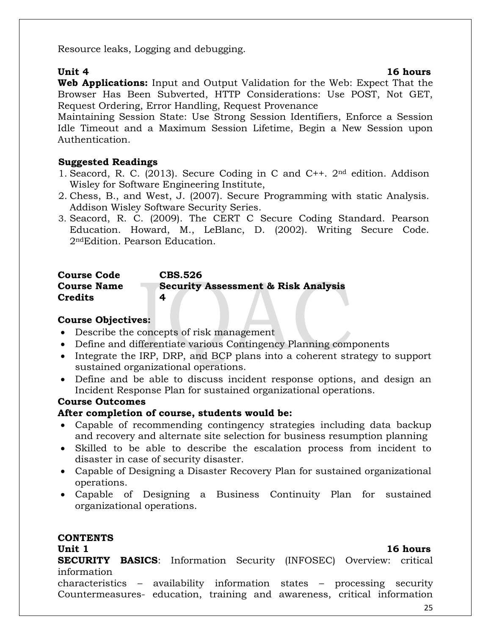Resource leaks, Logging and debugging.

**Unit 4** 16 hours

**Web Applications:** Input and Output Validation for the Web: Expect That the Browser Has Been Subverted, HTTP Considerations: Use POST, Not GET, Request Ordering, Error Handling, Request Provenance

Maintaining Session State: Use Strong Session Identifiers, Enforce a Session Idle Timeout and a Maximum Session Lifetime, Begin a New Session upon Authentication.

### **Suggested Readings**

- 1. Seacord, R. C. (2013). Secure Coding in C and C++. 2nd edition. Addison Wisley for Software Engineering Institute,
- 2. Chess, B., and West, J. (2007). Secure Programming with static Analysis. Addison Wisley Software Security Series.
- 3. Seacord, R. C. (2009). The CERT C Secure Coding Standard. Pearson Education. Howard, M., LeBlanc, D. (2002). Writing Secure Code. 2ndEdition. Pearson Education.

## **Course Code CBS.526 Course Name Security Assessment & Risk Analysis Credits 4**

### **Course Objectives:**

- Describe the concepts of risk management
- Define and differentiate various Contingency Planning components
- Integrate the IRP, DRP, and BCP plans into a coherent strategy to support sustained organizational operations.
- Define and be able to discuss incident response options, and design an Incident Response Plan for sustained organizational operations.

## **Course Outcomes**

## **After completion of course, students would be:**

- Capable of recommending contingency strategies including data backup and recovery and alternate site selection for business resumption planning
- Skilled to be able to describe the escalation process from incident to disaster in case of security disaster.
- Capable of Designing a Disaster Recovery Plan for sustained organizational operations.
- Capable of Designing a Business Continuity Plan for sustained organizational operations.

### **CONTENTS**

## **Unit 1** 16 hours

**SECURITY BASICS**: Information Security (INFOSEC) Overview: critical information

characteristics – availability information states – processing security Countermeasures- education, training and awareness, critical information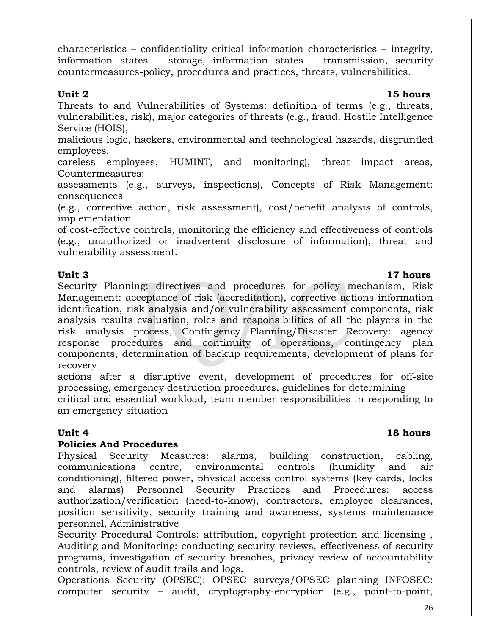**Unit 2 15 hours** Threats to and Vulnerabilities of Systems: definition of terms (e.g., threats,

characteristics – confidentiality critical information characteristics – integrity, information states – storage, information states – transmission, security

countermeasures-policy, procedures and practices, threats, vulnerabilities.

vulnerabilities, risk), major categories of threats (e.g., fraud, Hostile Intelligence Service (HOIS),

malicious logic, hackers, environmental and technological hazards, disgruntled employees,

careless employees, HUMINT, and monitoring), threat impact areas, Countermeasures:

assessments (e.g., surveys, inspections), Concepts of Risk Management: consequences

(e.g., corrective action, risk assessment), cost/benefit analysis of controls, implementation

of cost-effective controls, monitoring the efficiency and effectiveness of controls (e.g., unauthorized or inadvertent disclosure of information), threat and vulnerability assessment.

#### **Unit 3 17 hours**

Security Planning: directives and procedures for policy mechanism, Risk Management: acceptance of risk (accreditation), corrective actions information identification, risk analysis and/or vulnerability assessment components, risk analysis results evaluation, roles and responsibilities of all the players in the risk analysis process, Contingency Planning/Disaster Recovery: agency response procedures and continuity of operations, contingency plan components, determination of backup requirements, development of plans for recovery

actions after a disruptive event, development of procedures for off-site processing, emergency destruction procedures, guidelines for determining

critical and essential workload, team member responsibilities in responding to an emergency situation

### **Unit 4** 18 hours

### **Policies And Procedures**

Physical Security Measures: alarms, building construction, cabling, communications centre, environmental controls (humidity and air conditioning), filtered power, physical access control systems (key cards, locks and alarms) Personnel Security Practices and Procedures: access authorization/verification (need-to-know), contractors, employee clearances, position sensitivity, security training and awareness, systems maintenance personnel, Administrative

Security Procedural Controls: attribution, copyright protection and licensing , Auditing and Monitoring: conducting security reviews, effectiveness of security programs, investigation of security breaches, privacy review of accountability controls, review of audit trails and logs.

Operations Security (OPSEC): OPSEC surveys/OPSEC planning INFOSEC: computer security – audit, cryptography-encryption (e.g., point-to-point,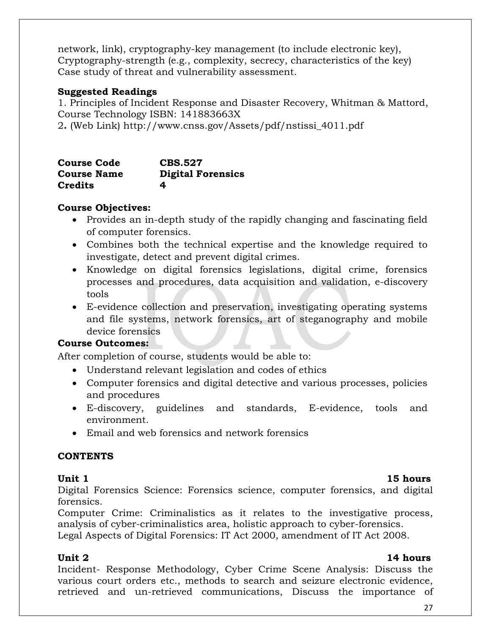network, link), cryptography-key management (to include electronic key), Cryptography-strength (e.g., complexity, secrecy, characteristics of the key) Case study of threat and vulnerability assessment.

### **Suggested Readings**

1. Principles of Incident Response and Disaster Recovery, Whitman & Mattord, Course Technology ISBN: 141883663X

2**.** (Web Link) http://www.cnss.gov/Assets/pdf/nstissi\_4011.pdf

| <b>Course Code</b> | <b>CBS.527</b>           |
|--------------------|--------------------------|
| <b>Course Name</b> | <b>Digital Forensics</b> |
| <b>Credits</b>     | 4                        |

## **Course Objectives:**

- Provides an in-depth study of the rapidly changing and fascinating field of computer forensics.
- Combines both the technical expertise and the knowledge required to investigate, detect and prevent digital crimes.
- Knowledge on digital forensics legislations, digital crime, forensics processes and procedures, data acquisition and validation, e-discovery tools
- E-evidence collection and preservation, investigating operating systems and file systems, network forensics, art of steganography and mobile device forensics

## **Course Outcomes:**

After completion of course, students would be able to:

- Understand relevant legislation and codes of ethics
- Computer forensics and digital detective and various processes, policies and procedures
- E-discovery, guidelines and standards, E-evidence, tools and environment.
- Email and web forensics and network forensics

## **CONTENTS**

**Unit 1** 15 hours Digital Forensics Science: Forensics science, computer forensics, and digital forensics.

Computer Crime: Criminalistics as it relates to the investigative process, analysis of cyber-criminalistics area, holistic approach to cyber-forensics.

Legal Aspects of Digital Forensics: IT Act 2000, amendment of IT Act 2008.

Incident- Response Methodology, Cyber Crime Scene Analysis: Discuss the various court orders etc., methods to search and seizure electronic evidence, retrieved and un-retrieved communications, Discuss the importance of

## **Unit 2** 14 hours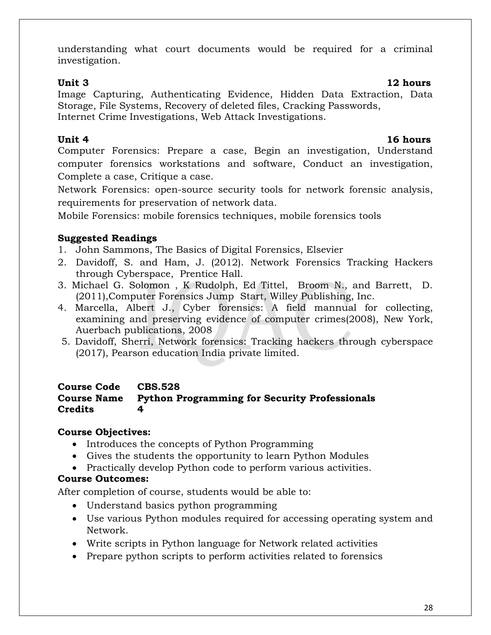understanding what court documents would be required for a criminal investigation.

### **Unit 3 12 hours**

Image Capturing, Authenticating Evidence, Hidden Data Extraction, Data Storage, File Systems, Recovery of deleted files, Cracking Passwords, Internet Crime Investigations, Web Attack Investigations.

## **Unit 4** 16 hours

Computer Forensics: Prepare a case, Begin an investigation, Understand computer forensics workstations and software, Conduct an investigation, Complete a case, Critique a case.

Network Forensics: open-source security tools for network forensic analysis, requirements for preservation of network data.

Mobile Forensics: mobile forensics techniques, mobile forensics tools

## **Suggested Readings**

- 1. John Sammons, The Basics of Digital Forensics, Elsevier
- 2. Davidoff, S. and Ham, J. (2012). Network Forensics Tracking Hackers through Cyberspace, Prentice Hall.
- 3. Michael G. Solomon , K Rudolph, Ed Tittel, Broom N., and Barrett, D. (2011),Computer Forensics Jump Start, Willey Publishing, Inc.
- 4. [Marcella, Albert J.,](http://14.139.242.3/W27/Result/w27AcptRslt.aspx?AID=66502&xF=T&xD=0&nS=2) Cyber forensics: A field mannual for collecting, examining and preserving evidence of computer crimes(2008), New York, Auerbach publications, 2008
- 5. [Davidoff, Sherri,](http://14.139.242.3/W27/Result/w27AcptRslt.aspx?AID=103082&xF=T&xD=0&nS=2) Network forensics: Tracking [hackers through cyberspace](http://14.139.242.3/W27/Result/Dtl/W21OneItem.aspx?xC=030592) (2017), Pearson education India private limited.

### **Course Code CBS.528 Course Name Python Programming for Security Professionals Credits 4**

## **Course Objectives:**

- Introduces the concepts of Python Programming
- Gives the students the opportunity to learn Python Modules
- Practically develop Python code to perform various activities.

## **Course Outcomes:**

After completion of course, students would be able to:

- Understand basics python programming
- Use various Python modules required for accessing operating system and Network.
- Write scripts in Python language for Network related activities
- Prepare python scripts to perform activities related to forensics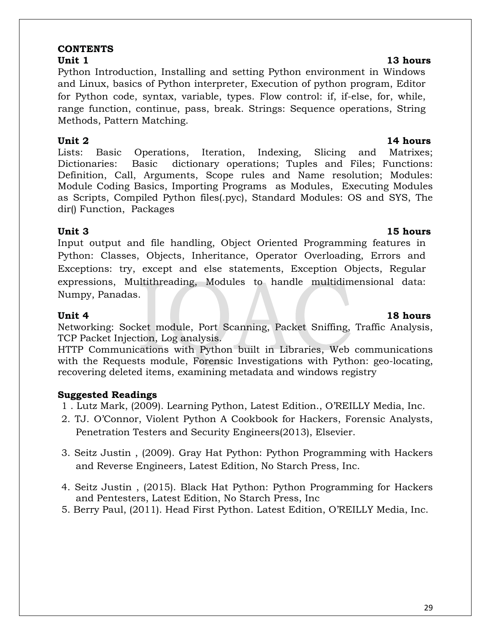#### **CONTENTS**

#### **Unit 1** 13 hours

Python Introduction, Installing and setting Python environment in Windows and Linux, basics of Python interpreter, Execution of python program, Editor for Python code, syntax, variable, types. Flow control: if, if-else, for, while, range function, continue, pass, break. Strings: Sequence operations, String Methods, Pattern Matching.

### **Unit 2** 14 hours

Lists: Basic Operations, Iteration, Indexing, Slicing and Matrixes; Dictionaries: Basic dictionary operations; Tuples and Files; Functions: Definition, Call, Arguments, Scope rules and Name resolution; Modules: Module Coding Basics, Importing Programs as Modules, Executing Modules as Scripts, Compiled Python files(.pyc), Standard Modules: OS and SYS, The dir() Function, Packages

Input output and file handling, Object Oriented Programming features in Python: Classes, Objects, Inheritance, Operator Overloading, Errors and Exceptions: try, except and else statements, Exception Objects, Regular expressions, Multithreading, Modules to handle multidimensional data: Numpy, Panadas.

Networking: Socket module, Port Scanning, Packet Sniffing, Traffic Analysis, TCP Packet Injection, Log analysis.

HTTP Communications with Python built in Libraries, Web communications with the Requests module, Forensic Investigations with Python: geo-locating, recovering deleted items, examining metadata and windows registry

## **Suggested Readings**

- 1 . Lutz Mark, (2009). Learning Python, Latest Edition., O'REILLY Media, Inc.
- 2. TJ. O'Connor, Violent Python A Cookbook for Hackers, Forensic Analysts, Penetration Testers and Security Engineers(2013), Elsevier.
- 3. Seitz Justin , (2009). Gray Hat Python: Python Programming with Hackers and Reverse Engineers, Latest Edition, No Starch Press, Inc.
- 4. Seitz Justin , (2015). Black Hat Python: Python Programming for Hackers and Pentesters, Latest Edition, No Starch Press, Inc
- 5. Berry Paul, (2011). Head First Python. Latest Edition, O'REILLY Media, Inc.

## **Unit 3 15 hours**

## **Unit 4 18 hours**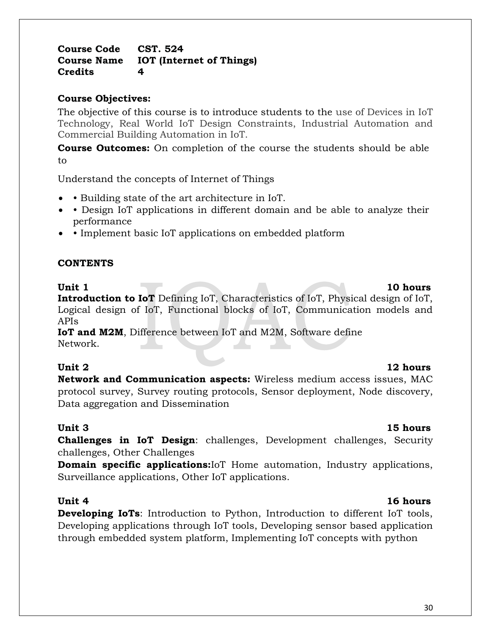**Course Code CST. 524 Course Name IOT (Internet of Things) Credits 4**

## **Course Objectives:**

The objective of this course is to introduce students to the use of Devices in IoT Technology, Real World IoT Design Constraints, Industrial Automation and Commercial Building Automation in IoT.

**Course Outcomes:** On completion of the course the students should be able to

Understand the concepts of Internet of Things

- Building state of the art architecture in IoT.
- • Design IoT applications in different domain and be able to analyze their performance
- Implement basic IoT applications on embedded platform

### **CONTENTS**

### Unit 1 10 hours

**Introduction to IoT** Defining IoT, Characteristics of IoT, Physical design of IoT, Logical design of IoT, Functional blocks of IoT, Communication models and APIs

**IoT and M2M**, Difference between IoT and M2M, Software define Network.

**Network and Communication aspects:** Wireless medium access issues, MAC protocol survey, Survey routing protocols, Sensor deployment, Node discovery, Data aggregation and Dissemination

## **Unit 3 15 hours**

**Challenges in IoT Design**: challenges, Development challenges, Security challenges, Other Challenges

**Domain specific applications:**IoT Home automation, Industry applications, Surveillance applications, Other IoT applications.

## **Unit 4** 16 hours

**Developing IoTs**: Introduction to Python, Introduction to different IoT tools, Developing applications through IoT tools, Developing sensor based application through embedded system platform, Implementing IoT concepts with python

## **Unit 2** 12 hours

#### 30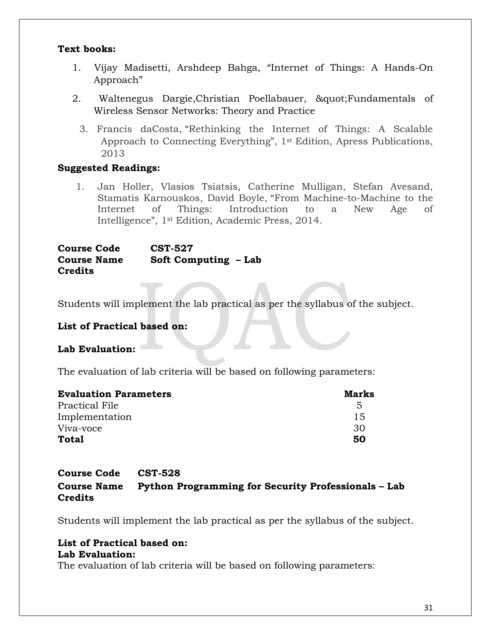#### **Text books:**

- 1. Vijay Madisetti, Arshdeep Bahga, "Internet of Things: A Hands-On Approach"
- 2. Waltenegus Dargie, Christian Poellabauer, & quot; Fundamentals of Wireless Sensor Networks: Theory and Practice
	- 3. Francis daCosta, "Rethinking the Internet of Things: A Scalable Approach to Connecting Everything", 1st Edition, Apress Publications, 2013

### **Suggested Readings:**

1. Jan Holler, Vlasios Tsiatsis, Catherine Mulligan, Stefan Avesand, Stamatis Karnouskos, David Boyle, "From Machine-to-Machine to the Internet of Things: Introduction to a New Age of Intelligence", 1st Edition, Academic Press, 2014.

**Course Code CST-527 Course Name Soft Computing – Lab Credits**

Students will implement the lab practical as per the syllabus of the subject.

### **List of Practical based on:**

### **Lab Evaluation:**

The evaluation of lab criteria will be based on following parameters:

| <b>Evaluation Parameters</b> | Marks        |
|------------------------------|--------------|
| Practical File               | $\mathbf{5}$ |
| Implementation               | 15           |
| Viva-voce                    | .30          |
| Total                        | 50           |

### **Course Code CST-528 Course Name Python Programming for Security Professionals – Lab Credits**

Students will implement the lab practical as per the syllabus of the subject.

#### **List of Practical based on: Lab Evaluation:**

The evaluation of lab criteria will be based on following parameters: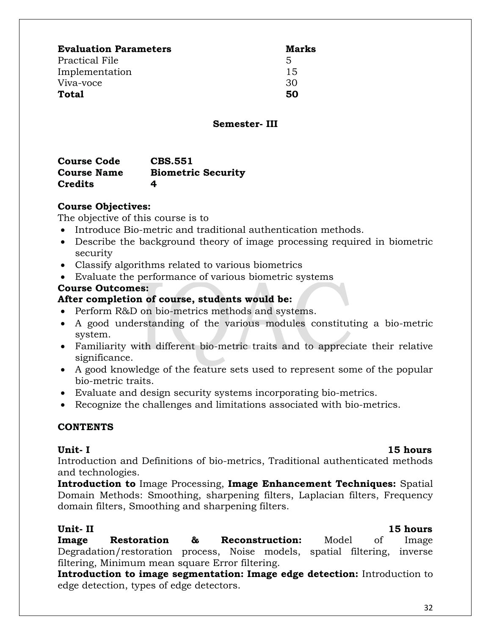| <b>Evaluation Parameters</b> | Marks |
|------------------------------|-------|
| Practical File               | 5     |
| Implementation               | 15    |
| Viva-voce                    | 30    |
| Total                        | 50    |

#### **Semester- III**

| <b>Course Code</b> | <b>CBS.551</b>            |
|--------------------|---------------------------|
| <b>Course Name</b> | <b>Biometric Security</b> |
| <b>Credits</b>     | 4                         |

### **Course Objectives:**

The objective of this course is to

- Introduce Bio-metric and traditional authentication methods.
- Describe the background theory of image processing required in biometric security
- Classify algorithms related to various biometrics
- Evaluate the performance of various biometric systems

#### **Course Outcomes:**

### **After completion of course, students would be:**

- Perform R&D on bio-metrics methods and systems.
- A good understanding of the various modules constituting a bio-metric system.
- Familiarity with different bio-metric traits and to appreciate their relative significance.
- A good knowledge of the feature sets used to represent some of the popular bio-metric traits.
- Evaluate and design security systems incorporating bio-metrics.
- Recognize the challenges and limitations associated with bio-metrics.

### **CONTENTS**

Introduction and Definitions of bio-metrics, Traditional authenticated methods and technologies.

**Introduction to** Image Processing, **Image Enhancement Techniques:** Spatial Domain Methods: Smoothing, sharpening filters, Laplacian filters, Frequency domain filters, Smoothing and sharpening filters.

### **Unit- II 15 hours**

**Image Restoration & Reconstruction:** Model of Image Degradation/restoration process, Noise models, spatial filtering, inverse filtering, Minimum mean square Error filtering.

**Introduction to image segmentation: Image edge detection:** Introduction to edge detection, types of edge detectors.

**Unit- I 15 hours**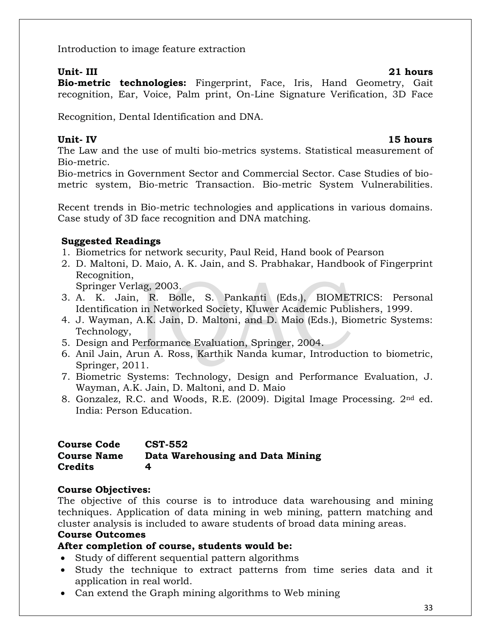Introduction to image feature extraction

#### **Unit- III 21 hours**

**Bio-metric technologies:** Fingerprint, Face, Iris, Hand Geometry, Gait recognition, Ear, Voice, Palm print, On-Line Signature Verification, 3D Face

Recognition, Dental Identification and DNA.

## **Unit- IV 15 hours**

The Law and the use of multi bio-metrics systems. Statistical measurement of Bio-metric.

Bio-metrics in Government Sector and Commercial Sector. Case Studies of biometric system, Bio-metric Transaction. Bio-metric System Vulnerabilities.

Recent trends in Bio-metric technologies and applications in various domains. Case study of 3D face recognition and DNA matching.

## **Suggested Readings**

- 1. Biometrics for network security, Paul Reid, Hand book of Pearson
- 2. D. Maltoni, D. Maio, A. K. Jain, and S. Prabhakar, Handbook of Fingerprint Recognition,

Springer Verlag, 2003.

- 3. A. K. Jain, R. Bolle, S. Pankanti (Eds.), BIOMETRICS: Personal Identification in Networked Society, Kluwer Academic Publishers, 1999.
- 4. J. Wayman, A.K. Jain, D. Maltoni, and D. Maio (Eds.), Biometric Systems: Technology,
- 5. Design and Performance Evaluation, Springer, 2004.
- 6. Anil Jain, Arun A. Ross, Karthik Nanda kumar, Introduction to biometric, Springer, 2011.
- 7. Biometric Systems: Technology, Design and Performance Evaluation, J. Wayman, A.K. Jain, D. Maltoni, and D. Maio
- 8. Gonzalez, R.C. and Woods, R.E. (2009). Digital Image Processing. 2nd ed. India: Person Education.

### **Course Code CST-552 Course Name Data Warehousing and Data Mining Credits 4**

## **Course Objectives:**

The objective of this course is to introduce data warehousing and mining techniques. Application of data mining in web mining, pattern matching and cluster analysis is included to aware students of broad data mining areas.

## **Course Outcomes**

## **After completion of course, students would be:**

- Study of different sequential pattern algorithms
- Study the technique to extract patterns from time series data and it application in real world.
- Can extend the Graph mining algorithms to Web mining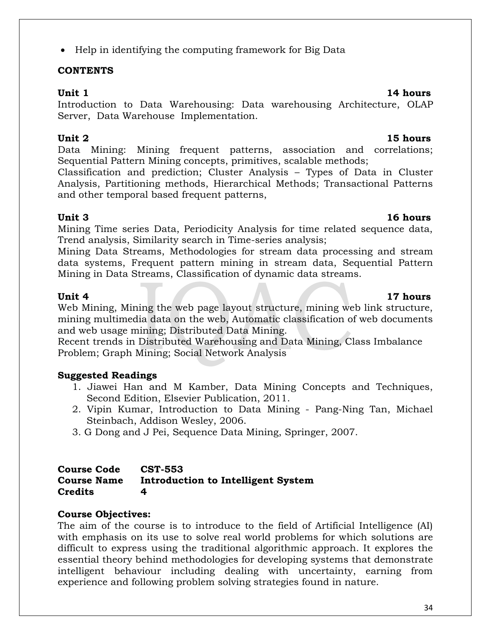## • Help in identifying the computing framework for Big Data

## **CONTENTS**

### **Unit 1** 14 hours

Introduction to Data Warehousing: Data warehousing Architecture, OLAP Server, Data Warehouse Implementation.

## **Unit 2 15 hours**

Data Mining: Mining frequent patterns, association and correlations; Sequential Pattern Mining concepts, primitives, scalable methods;

Classification and prediction; Cluster Analysis – Types of Data in Cluster Analysis, Partitioning methods, Hierarchical Methods; Transactional Patterns and other temporal based frequent patterns,

Mining Time series Data, Periodicity Analysis for time related sequence data, Trend analysis, Similarity search in Time-series analysis;

Mining Data Streams, Methodologies for stream data processing and stream data systems, Frequent pattern mining in stream data, Sequential Pattern Mining in Data Streams, Classification of dynamic data streams.

Web Mining, Mining the web page layout structure, mining web link structure, mining multimedia data on the web, Automatic classification of web documents and web usage mining; Distributed Data Mining.

Recent trends in Distributed Warehousing and Data Mining, Class Imbalance Problem; Graph Mining; Social Network Analysis

## **Suggested Readings**

- 1. Jiawei Han and M Kamber, Data Mining Concepts and Techniques, Second Edition, Elsevier Publication, 2011.
- 2. Vipin Kumar, Introduction to Data Mining Pang-Ning Tan, Michael Steinbach, Addison Wesley, 2006.
- 3. G Dong and J Pei, Sequence Data Mining, Springer, 2007.

#### **Course Code CST-553 Course Name Introduction to Intelligent System Credits 4**

## **Course Objectives:**

The aim of the course is to introduce to the field of Artificial Intelligence (AI) with emphasis on its use to solve real world problems for which solutions are difficult to express using the traditional algorithmic approach. It explores the essential theory behind methodologies for developing systems that demonstrate intelligent behaviour including dealing with uncertainty, earning from experience and following problem solving strategies found in nature.

## **Unit 3 16 hours**

## **Unit 4 17 hours**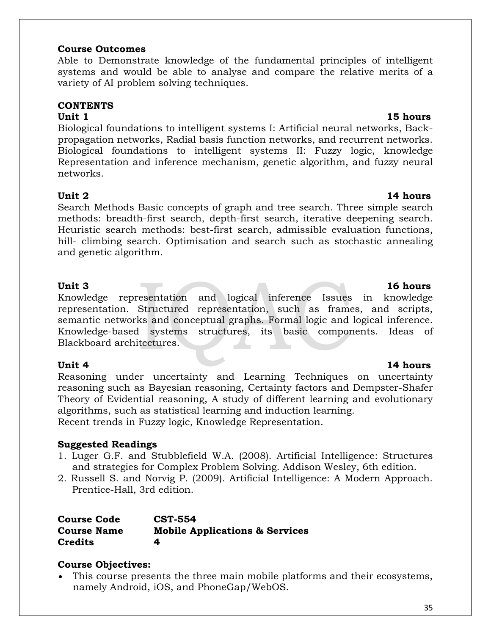#### **Course Outcomes**

Able to Demonstrate knowledge of the fundamental principles of intelligent systems and would be able to analyse and compare the relative merits of a variety of AI problem solving techniques.

### **CONTENTS**

Biological foundations to intelligent systems I: Artificial neural networks, Backpropagation networks, Radial basis function networks, and recurrent networks. Biological foundations to intelligent systems II: Fuzzy logic, knowledge Representation and inference mechanism, genetic algorithm, and fuzzy neural networks.

### **Unit 2** 14 hours

Search Methods Basic concepts of graph and tree search. Three simple search methods: breadth-first search, depth-first search, iterative deepening search. Heuristic search methods: best-first search, admissible evaluation functions, hill- climbing search. Optimisation and search such as stochastic annealing and genetic algorithm.

Knowledge representation and logical inference Issues in knowledge representation. Structured representation, such as frames, and scripts, semantic networks and conceptual graphs. Formal logic and logical inference. Knowledge-based systems structures, its basic components. Ideas of Blackboard architectures.

Reasoning under uncertainty and Learning Techniques on uncertainty reasoning such as Bayesian reasoning, Certainty factors and Dempster-Shafer Theory of Evidential reasoning, A study of different learning and evolutionary algorithms, such as statistical learning and induction learning. Recent trends in Fuzzy logic, Knowledge Representation.

### **Suggested Readings**

- 1. Luger G.F. and Stubblefield W.A. (2008). Artificial Intelligence: Structures and strategies for Complex Problem Solving. Addison Wesley, 6th edition.
- 2. Russell S. and Norvig P. (2009). Artificial Intelligence: A Modern Approach. Prentice-Hall, 3rd edition.

| <b>Course Code</b> | <b>CST-554</b>                            |
|--------------------|-------------------------------------------|
| <b>Course Name</b> | <b>Mobile Applications &amp; Services</b> |
| <b>Credits</b>     | 4                                         |

## **Course Objectives:**

 This course presents the three main mobile platforms and their ecosystems, namely Android, iOS, and PhoneGap/WebOS.

### **Unit 1** 15 hours

## Unit 3 16 hours

### Unit 4 **14 hours**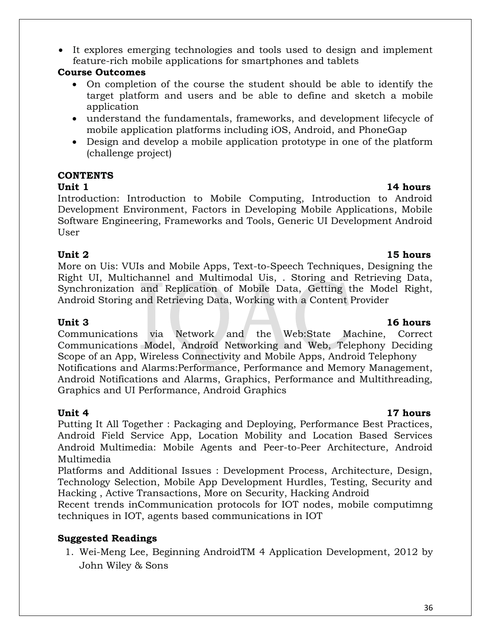It explores emerging technologies and tools used to design and implement feature-rich mobile applications for smartphones and tablets

## **Course Outcomes**

- On completion of the course the student should be able to identify the target platform and users and be able to define and sketch a mobile application
- understand the fundamentals, frameworks, and development lifecycle of mobile application platforms including iOS, Android, and PhoneGap
- Design and develop a mobile application prototype in one of the platform (challenge project)

## **CONTENTS**

**Unit 1** 14 hours Introduction: Introduction to Mobile Computing, Introduction to Android Development Environment, Factors in Developing Mobile Applications, Mobile Software Engineering, Frameworks and Tools, Generic UI Development Android User

## **Unit 2 15 hours**

More on Uis: VUIs and Mobile Apps, Text-to-Speech Techniques, Designing the Right UI, Multichannel and Multimodal Uis, . Storing and Retrieving Data, Synchronization and Replication of Mobile Data, Getting the Model Right, Android Storing and Retrieving Data, Working with a Content Provider

Communications via Network and the Web:State Machine, Correct Communications Model, Android Networking and Web, Telephony Deciding Scope of an App, Wireless Connectivity and Mobile Apps, Android Telephony Notifications and Alarms:Performance, Performance and Memory Management, Android Notifications and Alarms, Graphics, Performance and Multithreading, Graphics and UI Performance, Android Graphics

Putting It All Together : Packaging and Deploying, Performance Best Practices, Android Field Service App, Location Mobility and Location Based Services Android Multimedia: Mobile Agents and Peer-to-Peer Architecture, Android Multimedia

Platforms and Additional Issues : Development Process, Architecture, Design, Technology Selection, Mobile App Development Hurdles, Testing, Security and Hacking , Active Transactions, More on Security, Hacking Android

Recent trends inCommunication protocols for IOT nodes, mobile computimng techniques in IOT, agents based communications in IOT

## **Suggested Readings**

1. Wei-Meng Lee, Beginning AndroidTM 4 Application Development, 2012 by John Wiley & Sons

## **Unit 3 16 hours**

## **Unit 4 17 hours**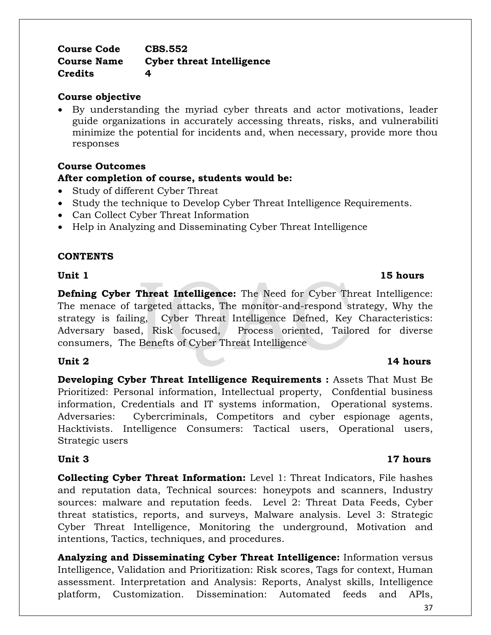#### **Course Code CBS.552 Course Name Cyber threat Intelligence Credits 4**

#### **Course objective**

 By understanding the myriad cyber threats and actor motivations, leaders can guide organizations in accurately accessing threats, risks, and vulnerabiliti minimize the potential for incidents and, when necessary, provide more thou responses

## **Course Outcomes After completion of course, students would be:**

- Study of different Cyber Threat
- Study the technique to Develop Cyber Threat Intelligence Requirements.
- Can Collect Cyber Threat Information
- Help in Analyzing and Disseminating Cyber Threat Intelligence

#### **CONTENTS**

**Unit 1** 15 hours

**Defning Cyber Threat Intelligence:** The Need for Cyber Threat Intelligence: The menace of targeted attacks, The monitor-and-respond strategy, Why the strategy is failing, Cyber Threat Intelligence Defned, Key Characteristics: Adversary based, Risk focused, Process oriented, Tailored for diverse consumers, The Benefts of Cyber Threat Intelligence

**Developing Cyber Threat Intelligence Requirements :** Assets That Must Be Prioritized: Personal information, Intellectual property, Confdential business information, Credentials and IT systems information, Operational systems. Adversaries: Cybercriminals, Competitors and cyber espionage agents, Hacktivists. Intelligence Consumers: Tactical users, Operational users, Strategic users

#### **Unit 3 17 hours**

**Collecting Cyber Threat Information:** Level 1: Threat Indicators, File hashes and reputation data, Technical sources: honeypots and scanners, Industry sources: malware and reputation feeds. Level 2: Threat Data Feeds, Cyber threat statistics, reports, and surveys, Malware analysis. Level 3: Strategic Cyber Threat Intelligence, Monitoring the underground, Motivation and intentions, Tactics, techniques, and procedures.

**Analyzing and Disseminating Cyber Threat Intelligence:** Information versus Intelligence, Validation and Prioritization: Risk scores, Tags for context, Human assessment. Interpretation and Analysis: Reports, Analyst skills, Intelligence platform, Customization. Dissemination: Automated feeds and APIs,

#### **Unit 2** 14 hours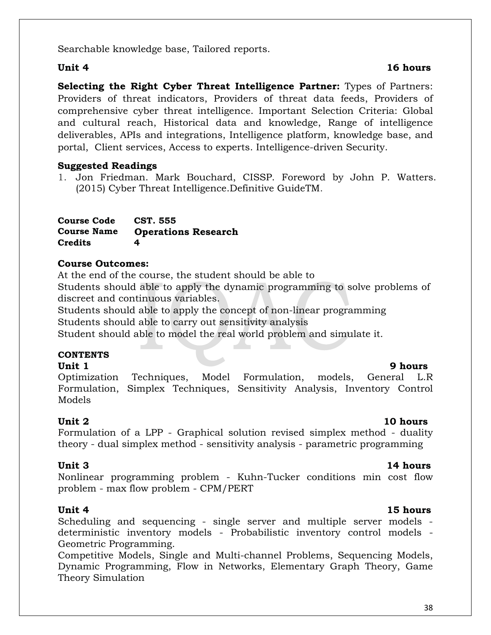Searchable knowledge base, Tailored reports.

### **Unit 4** 16 hours

**Selecting the Right Cyber Threat Intelligence Partner:** Types of Partners: Providers of threat indicators, Providers of threat data feeds, Providers of comprehensive cyber threat intelligence. Important Selection Criteria: Global and cultural reach, Historical data and knowledge, Range of intelligence deliverables, APIs and integrations, Intelligence platform, knowledge base, and portal, Client services, Access to experts. Intelligence-driven Security.

## **Suggested Readings**

1. Jon Friedman. Mark Bouchard, CISSP. Foreword by John P. Watters. (2015) Cyber Threat Intelligence.Definitive GuideTM.

| <b>Course Code</b> | CST. 555                   |
|--------------------|----------------------------|
| <b>Course Name</b> | <b>Operations Research</b> |
| <b>Credits</b>     | 4                          |

## **Course Outcomes:**

At the end of the course, the student should be able to Students should able to apply the dynamic programming to solve problems of discreet and continuous variables.

 Students should able to apply the concept of non-linear programming Students should able to carry out sensitivity analysis

Student should able to model the real world problem and simulate it.

## **CONTENTS**

### **Unit 1** 9 hours

Optimization Techniques, Model Formulation, models, General L.R Formulation, Simplex Techniques, Sensitivity Analysis, Inventory Control Models

## **Unit 2** 10 hours

Formulation of a LPP - Graphical solution revised simplex method - duality theory - dual simplex method - sensitivity analysis - parametric programming

## Unit 3 14 hours

Nonlinear programming problem - Kuhn-Tucker conditions min cost flow problem - max flow problem - CPM/PERT

**Unit 4** 15 hours Scheduling and sequencing - single server and multiple server models deterministic inventory models - Probabilistic inventory control models - Geometric Programming.

Competitive Models, Single and Multi-channel Problems, Sequencing Models, Dynamic Programming, Flow in Networks, Elementary Graph Theory, Game Theory Simulation

#### 38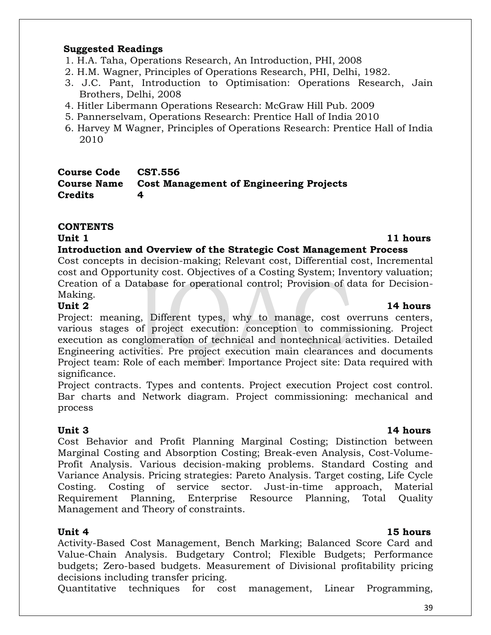#### **Suggested Readings**

- 1. H.A. Taha, Operations Research, An Introduction, PHI, 2008
- 2. H.M. Wagner, Principles of Operations Research, PHI, Delhi, 1982.
- 3. J.C. Pant, Introduction to Optimisation: Operations Research, Jain Brothers, Delhi, 2008
- 4. Hitler Libermann Operations Research: McGraw Hill Pub. 2009
- 5. Pannerselvam, Operations Research: Prentice Hall of India 2010
- 6. Harvey M Wagner, Principles of Operations Research: Prentice Hall of India 2010

### **Course Code CST.556 Course Name Cost Management of Engineering Projects Credits 4**

## **CONTENTS**

### **Unit 1** 11 hours

### **Introduction and Overview of the Strategic Cost Management Process**

Cost concepts in decision-making; Relevant cost, Differential cost, Incremental cost and Opportunity cost. Objectives of a Costing System; Inventory valuation; Creation of a Database for operational control; Provision of data for Decision-Making.

Project: meaning, Different types, why to manage, cost overruns centers, various stages of project execution: conception to commissioning. Project execution as conglomeration of technical and nontechnical activities. Detailed Engineering activities. Pre project execution main clearances and documents Project team: Role of each member. Importance Project site: Data required with significance.

Project contracts. Types and contents. Project execution Project cost control. Bar charts and Network diagram. Project commissioning: mechanical and process

**Unit 3 14 hours** Cost Behavior and Profit Planning Marginal Costing; Distinction between Marginal Costing and Absorption Costing; Break-even Analysis, Cost-Volume-Profit Analysis. Various decision-making problems. Standard Costing and Variance Analysis. Pricing strategies: Pareto Analysis. Target costing, Life Cycle Costing. Costing of service sector. Just-in-time approach, Material Requirement Planning, Enterprise Resource Planning, Total Quality Management and Theory of constraints.

Activity-Based Cost Management, Bench Marking; Balanced Score Card and Value-Chain Analysis. Budgetary Control; Flexible Budgets; Performance budgets; Zero-based budgets. Measurement of Divisional profitability pricing decisions including transfer pricing.

Quantitative techniques for cost management, Linear Programming,

## **Unit 2** 14 hours

## **Unit 4** 15 hours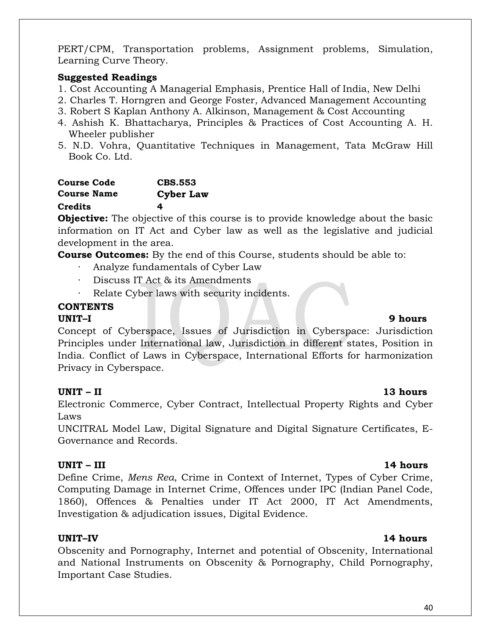PERT/CPM, Transportation problems, Assignment problems, Simulation, Learning Curve Theory.

### **Suggested Readings**

- 1. Cost Accounting A Managerial Emphasis, Prentice Hall of India, New Delhi
- 2. Charles T. Horngren and George Foster, Advanced Management Accounting
- 3. Robert S Kaplan Anthony A. Alkinson, Management & Cost Accounting
- 4. Ashish K. Bhattacharya, Principles & Practices of Cost Accounting A. H. Wheeler publisher
- 5. N.D. Vohra, Quantitative Techniques in Management, Tata McGraw Hill Book Co. Ltd.

## **Course Code CBS.553 Course Name Cyber Law Credits 4**

**Objective:** The objective of this course is to provide knowledge about the basic information on IT Act and Cyber law as well as the legislative and judicial development in the area.

**Course Outcomes:** By the end of this Course, students should be able to:

- ∙ Analyze fundamentals of Cyber Law
- ∙ Discuss IT Act & its Amendments
- ∙ Relate Cyber laws with security incidents.

## **CONTENTS**

## **UNIT–I 9 hours**

Concept of Cyberspace, Issues of Jurisdiction in Cyberspace: Jurisdiction Principles under International law, Jurisdiction in different states, Position in India. Conflict of Laws in Cyberspace, International Efforts for harmonization Privacy in Cyberspace.

## **UNIT – II 13 hours**

Electronic Commerce, Cyber Contract, Intellectual Property Rights and Cyber Laws

UNCITRAL Model Law, Digital Signature and Digital Signature Certificates, E-Governance and Records.

## **UNIT – III 14 hours**

Define Crime, *Mens Rea*, Crime in Context of Internet, Types of Cyber Crime, Computing Damage in Internet Crime, Offences under IPC (Indian Panel Code, 1860), Offences & Penalties under IT Act 2000, IT Act Amendments, Investigation & adjudication issues, Digital Evidence.

Obscenity and Pornography, Internet and potential of Obscenity, International and National Instruments on Obscenity & Pornography, Child Pornography, Important Case Studies.

### **UNIT–IV 14 hours**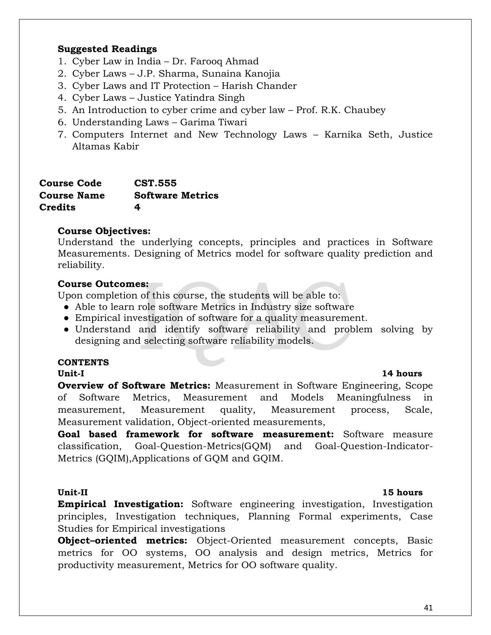#### **Suggested Readings**

- 1. Cyber Law in India Dr. Farooq Ahmad
- 2. Cyber Laws J.P. Sharma, Sunaina Kanojia
- 3. Cyber Laws and IT Protection Harish Chander
- 4. Cyber Laws Justice Yatindra Singh
- 5. An Introduction to cyber crime and cyber law Prof. R.K. Chaubey
- 6. Understanding Laws Garima Tiwari
- 7. Computers Internet and New Technology Laws Karnika Seth, Justice Altamas Kabir

| <b>Course Code</b> | <b>CST.555</b>          |
|--------------------|-------------------------|
| <b>Course Name</b> | <b>Software Metrics</b> |
| Credits            | 4                       |

#### **Course Objectives:**

Understand the underlying concepts, principles and practices in Software Measurements. Designing of Metrics model for software quality prediction and reliability.

#### **Course Outcomes:**

Upon completion of this course, the students will be able to:

- Able to learn role software Metrics in Industry size software
- Empirical investigation of software for a quality measurement.
- Understand and identify software reliability and problem solving by designing and selecting software reliability models.

#### **CONTENTS**

**Overview of Software Metrics:** Measurement in Software Engineering, Scope of Software Metrics, Measurement and Models Meaningfulness in measurement, Measurement quality, Measurement process, Scale, Measurement validation, Object-oriented measurements,

**Goal based framework for software measurement:** Software measure classification, Goal-Question-Metrics(GQM) and Goal-Question-Indicator-Metrics (GQIM),Applications of GQM and GQIM.

**Empirical Investigation:** Software engineering investigation, Investigation principles, Investigation techniques, Planning Formal experiments, Case Studies for Empirical investigations

**Object-oriented metrics:** Object-Oriented measurement concepts, Basic metrics for OO systems, OO analysis and design metrics, Metrics for productivity measurement, Metrics for OO software quality.

### **Unit-I 14 hours**

#### **Unit-II 15 hours**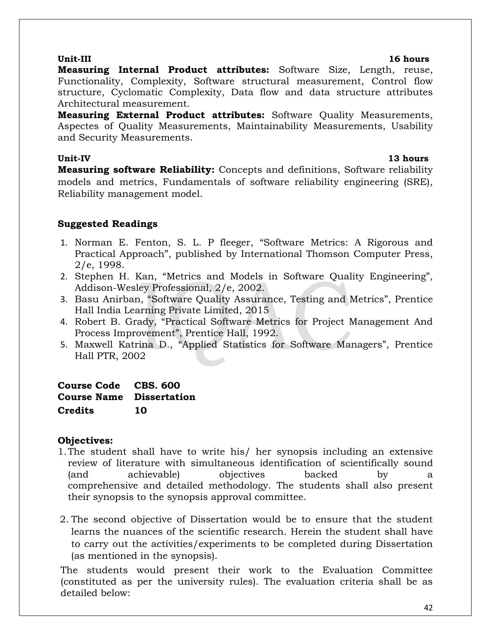#### 42

**Measuring Internal Product attributes:** Software Size, Length, reuse, Functionality, Complexity, Software structural measurement, Control flow structure, Cyclomatic Complexity, Data flow and data structure attributes Architectural measurement.

**Measuring External Product attributes:** Software Quality Measurements, Aspectes of Quality Measurements, Maintainability Measurements, Usability and Security Measurements.

**Unit-IV 13 hours Measuring software Reliability:** Concepts and definitions, Software reliability models and metrics, Fundamentals of software reliability engineering (SRE), Reliability management model.

## **Suggested Readings**

- 1. Norman E. Fenton, S. L. P fleeger, "Software Metrics: A Rigorous and Practical Approach", published by International Thomson Computer Press, 2/e, 1998.
- 2. Stephen H. Kan, "Metrics and Models in Software Quality Engineering", Addison-Wesley Professional, 2/e, 2002.
- 3. Basu Anirban, "Software Quality Assurance, Testing and Metrics", Prentice Hall India Learning Private Limited, 2015
- 4. Robert B. Grady, "Practical Software Metrics for Project Management And Process Improvement", Prentice Hall, 1992.
- 5. Maxwell Katrina D., "Applied Statistics for Software Managers", Prentice Hall PTR, 2002

## **Course Code CBS. 600 Course Name Dissertation Credits 10**

## **Objectives:**

- 1.The student shall have to write his/ her synopsis including an extensive review of literature with simultaneous identification of scientifically sound (and achievable) objectives backed by a comprehensive and detailed methodology. The students shall also present their synopsis to the synopsis approval committee.
- 2. The second objective of Dissertation would be to ensure that the student learns the nuances of the scientific research. Herein the student shall have to carry out the activities/experiments to be completed during Dissertation (as mentioned in the synopsis).

The students would present their work to the Evaluation Committee (constituted as per the university rules). The evaluation criteria shall be as detailed below:

## **Unit-III 16 hours**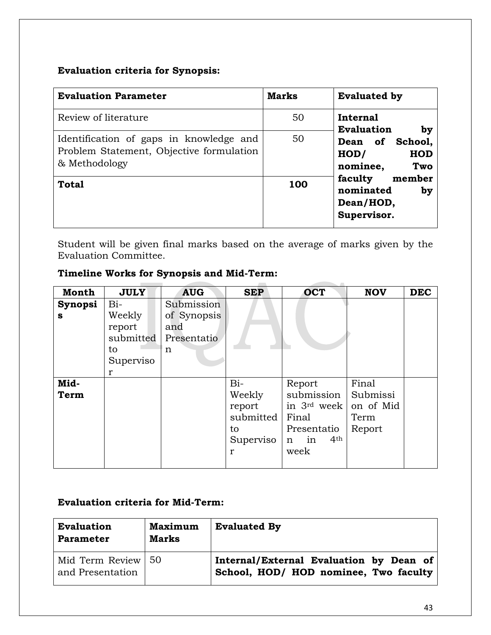## **Evaluation criteria for Synopsis:**

| <b>Evaluation Parameter</b>                                                                          | <b>Marks</b> | <b>Evaluated by</b>                                                                                                                                     |  |
|------------------------------------------------------------------------------------------------------|--------------|---------------------------------------------------------------------------------------------------------------------------------------------------------|--|
| Review of literature                                                                                 | 50           | Internal                                                                                                                                                |  |
| Identification of gaps in knowledge and<br>Problem Statement, Objective formulation<br>& Methodology | 50           | <b>Evaluation</b><br>by<br>Dean of School,<br>HOD/<br><b>HOD</b><br>nominee,<br>Two<br>member<br>faculty<br>nominated<br>by<br>Dean/HOD,<br>Supervisor. |  |
| <b>Total</b>                                                                                         | 100          |                                                                                                                                                         |  |

Student will be given final marks based on the average of marks given by the Evaluation Committee.

## **Timeline Works for Synopsis and Mid-Term:**

| <b>Month</b> | <b>JULY</b> | <b>AUG</b>  | <b>SEP</b>   | <b>OCT</b>                 | <b>NOV</b> | <b>DEC</b> |
|--------------|-------------|-------------|--------------|----------------------------|------------|------------|
| Synopsi      | $Bi-$       | Submission  |              |                            |            |            |
| S            | Weekly      | of Synopsis |              |                            |            |            |
|              | report      | and         |              |                            |            |            |
|              | submitted   | Presentatio |              |                            |            |            |
|              | to          | $\mathbf n$ |              |                            |            |            |
|              | Superviso   |             |              |                            |            |            |
|              | r           |             |              |                            |            |            |
| Mid-         |             |             | $Bi-$        | Report                     | Final      |            |
| <b>Term</b>  |             |             | Weekly       | submission                 | Submissi   |            |
|              |             |             | report       | in 3rd week                | on of Mid  |            |
|              |             |             | submitted    | Final                      | Term       |            |
|              |             |             | to           | Presentatio                | Report     |            |
|              |             |             | Superviso    | 4 <sup>th</sup><br>in<br>n |            |            |
|              |             |             | $\mathbf{r}$ | week                       |            |            |
|              |             |             |              |                            |            |            |

## **Evaluation criteria for Mid-Term:**

| <b>Evaluation</b><br><b>Parameter</b>    | <b>Maximum</b><br><b>Marks</b> | <b>Evaluated By</b>                                                              |
|------------------------------------------|--------------------------------|----------------------------------------------------------------------------------|
| Mid Term Review   50<br>and Presentation |                                | Internal/External Evaluation by Dean of<br>School, HOD/ HOD nominee, Two faculty |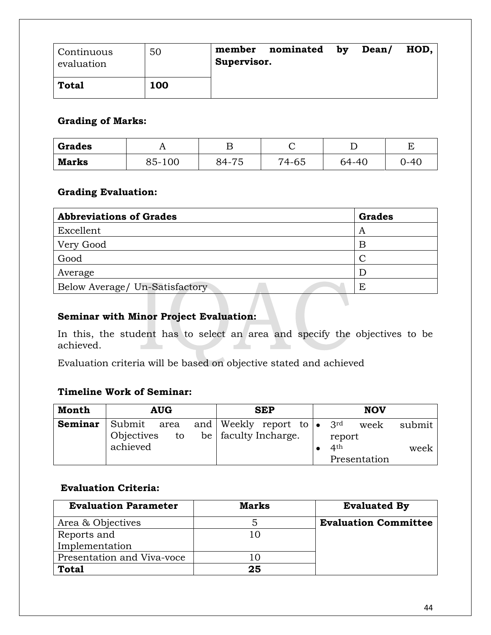| Continuous<br>evaluation | 50  | member<br>Supervisor. | nominated | by | Dean/ | HOD, |
|--------------------------|-----|-----------------------|-----------|----|-------|------|
| <b>Total</b>             | 100 |                       |           |    |       |      |

### **Grading of Marks:**

| <b>Grades</b> |        |       | ◡     |       |      |
|---------------|--------|-------|-------|-------|------|
| <b>Marks</b>  | 85-100 | 84-75 | 74-65 | 64-40 | )-4( |

## **Grading Evaluation:**

| <b>Abbreviations of Grades</b> | <b>Grades</b> |
|--------------------------------|---------------|
| Excellent                      | A             |
| Very Good                      | B             |
| Good                           | C             |
| Average                        |               |
| Below Average/ Un-Satisfactory | Ε             |
|                                |               |

### **Seminar with Minor Project Evaluation:**

In this, the student has to select an area and specify the objectives to be achieved. a shekara ber 1  $\overline{\phantom{a}}$ 

Evaluation criteria will be based on objective stated and achieved

## **Timeline Work of Seminar:**

| Month   | <b>AUG</b>       | <b>SEP</b>                                                                                | <b>NOV</b>                |        |
|---------|------------------|-------------------------------------------------------------------------------------------|---------------------------|--------|
| Seminar | Objectives<br>to | Submit area and Weekly report to $\bullet$ 3 <sup>rd</sup> week<br>be   faculty Incharge. |                           | submit |
|         | achieved         |                                                                                           | report<br>4 <sup>th</sup> | week   |
|         |                  |                                                                                           | Presentation              |        |

## **Evaluation Criteria:**

| <b>Evaluation Parameter</b> | <b>Marks</b> | <b>Evaluated By</b>         |
|-----------------------------|--------------|-----------------------------|
| Area & Objectives           |              | <b>Evaluation Committee</b> |
| Reports and                 |              |                             |
| Implementation              |              |                             |
| Presentation and Viva-voce  |              |                             |
| Total                       | 25           |                             |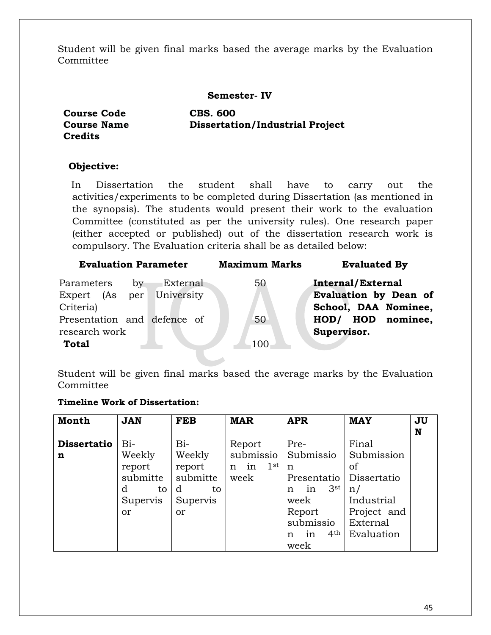Student will be given final marks based the average marks by the Evaluation Committee

#### **Semester- IV**

**Course Code CBS. 600 Credits**

**Course Name Dissertation/Industrial Project**

### **Objective:**

In Dissertation the student shall have to carry out the activities/experiments to be completed during Dissertation (as mentioned in the synopsis). The students would present their work to the evaluation Committee (constituted as per the university rules). One research paper (either accepted or published) out of the dissertation research work is compulsory. The Evaluation criteria shall be as detailed below:

| <b>Evaluation Parameter</b> |          | <b>Maximum Marks</b> | <b>Evaluated By</b>      |
|-----------------------------|----------|----------------------|--------------------------|
| Parameters<br>by            | External | 50                   | <b>Internal/External</b> |
| Expert (As per University   |          |                      | Evaluation by Dean of    |
| Criteria)                   |          |                      | School, DAA Nominee,     |
| Presentation and defence of |          | 50                   | nominee,<br>HOD/ HOD     |
| research work               |          |                      | Supervisor.              |
| <b>Total</b>                |          | 100                  |                          |
|                             |          |                      |                          |

Student will be given final marks based the average marks by the Evaluation Committee

#### **Timeline Work of Dissertation:**

| <b>Month</b>       | <b>JAN</b> | <b>FEB</b> | <b>MAR</b>              | <b>APR</b>                 | <b>MAY</b>  | JU<br>N |
|--------------------|------------|------------|-------------------------|----------------------------|-------------|---------|
| <b>Dissertatio</b> | $Bi-$      | $Bi-$      | Report                  | Pre-                       | Final       |         |
| n                  | Weekly     | Weekly     | submissio               | Submissio                  | Submission  |         |
|                    | report     | report     | in<br>$1^{\rm st}$<br>n | n                          | of          |         |
|                    | submitte   | submitte   | week                    | Presentatio                | Dissertatio |         |
|                    | d<br>to    | d<br>to    |                         | $3^{\rm st}$<br>in<br>n    | n/          |         |
|                    | Supervis   | Supervis   |                         | week                       | Industrial  |         |
|                    | <b>or</b>  | or         |                         | Report                     | Project and |         |
|                    |            |            |                         | submissio                  | External    |         |
|                    |            |            |                         | 4 <sup>th</sup><br>in<br>n | Evaluation  |         |
|                    |            |            |                         | week                       |             |         |